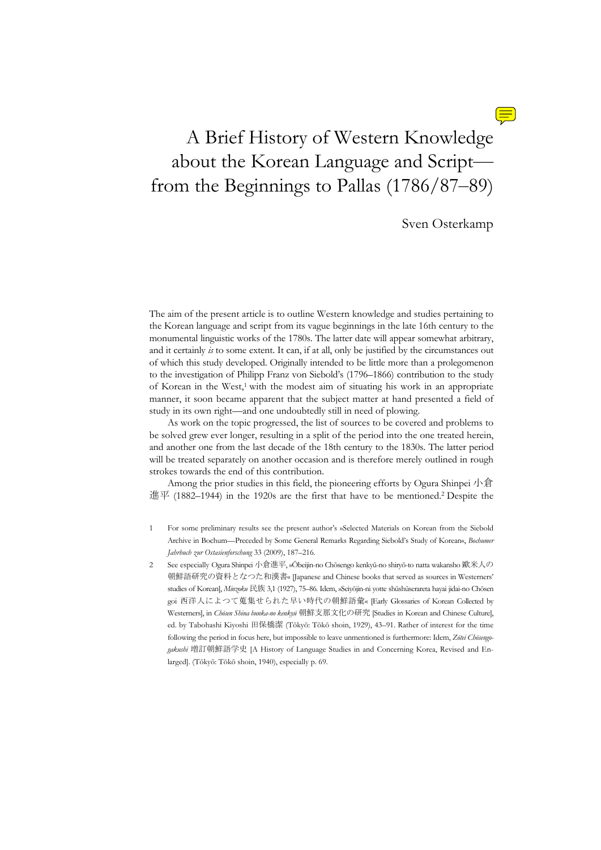

# A Brief History of Western Knowledge about the Korean Language and Script from the Beginnings to Pallas (1786/87–89)

Sven Osterkamp

The aim of the present article is to outline Western knowledge and studies pertaining to the Korean language and script from its vague beginnings in the late 16th century to the monumental linguistic works of the 1780s. The latter date will appear somewhat arbitrary, and it certainly *is* to some extent. It can, if at all, only be justified by the circumstances out of which this study developed. Originally intended to be little more than a prolegomenon to the investigation of Philipp Franz von Siebold's (1796–1866) contribution to the study of Korean in the West,1 with the modest aim of situating his work in an appropriate manner, it soon became apparent that the subject matter at hand presented a field of study in its own right—and one undoubtedly still in need of plowing.

 As work on the topic progressed, the list of sources to be covered and problems to be solved grew ever longer, resulting in a split of the period into the one treated herein, and another one from the last decade of the 18th century to the 1830s. The latter period will be treated separately on another occasion and is therefore merely outlined in rough strokes towards the end of this contribution.

 Among the prior studies in this field, the pioneering efforts by Ogura Shinpei 小倉 進平 (1882–1944) in the 1920s are the first that have to be mentioned.<sup>2</sup> Despite the

1 For some preliminary results see the present author's »Selected Materials on Korean from the Siebold Archive in Bochum—Preceded by Some General Remarks Regarding Siebold's Study of Korean«, *Bochumer Jahrbuch zur Ostasienforschung* 33 (2009), 187–216.

2 See especially Ogura Shinpei 小倉進平, »Ōbeijin-no Chōsengo kenkyū-no shiryō-to natta wakansho 歐米人の 朝鮮語研究の資料となつた和漢書« [Japanese and Chinese books that served as sources in Westerners' studies of Korean], *Minzoku* 民族 3,1 (1927), 75–86. Idem, »Seiyōjin-ni yotte shūshūserareta hayai jidai-no Chōsen goi 西洋人によつて蒐集せられた早い時代の朝鮮語彙« [Early Glossaries of Korean Collected by Westerners], in *Chōsen Shina bunka-no kenkyū* 朝鮮支那文化の研究 [Studies in Korean and Chinese Culture], ed. by Tabohashi Kiyoshi 田保橋潔 (Tōkyō: Tōkō shoin, 1929), 43–91. Rather of interest for the time following the period in focus here, but impossible to leave unmentioned is furthermore: Idem, *Zōtei Chōsengogakushi* 増訂朝鮮語学史 [A History of Language Studies in and Concerning Korea, Revised and Enlarged]. (Tōkyō: Tōkō shoin, 1940), especially p. 69.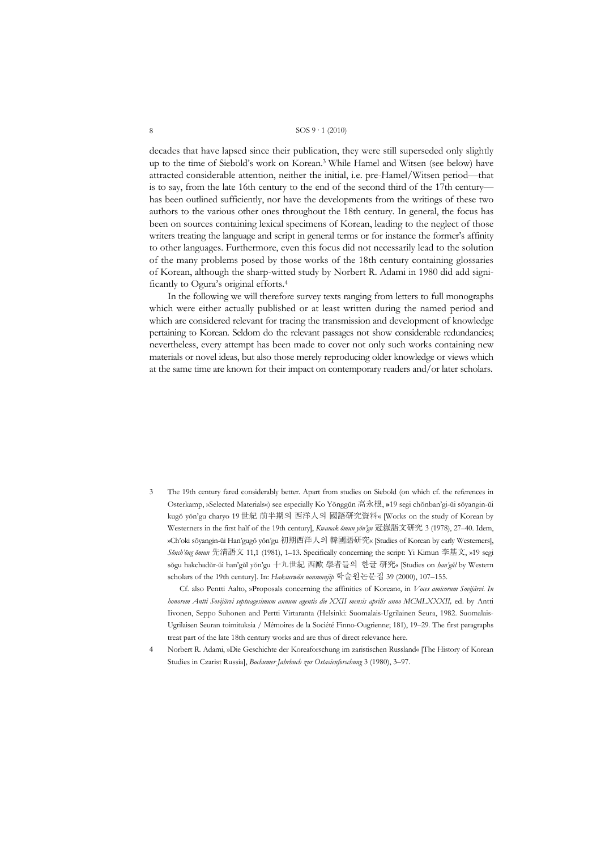decades that have lapsed since their publication, they were still superseded only slightly up to the time of Siebold's work on Korean.3 While Hamel and Witsen (see below) have attracted considerable attention, neither the initial, i.e. pre-Hamel/Witsen period—that is to say, from the late 16th century to the end of the second third of the 17th century has been outlined sufficiently, nor have the developments from the writings of these two authors to the various other ones throughout the 18th century. In general, the focus has been on sources containing lexical specimens of Korean, leading to the neglect of those writers treating the language and script in general terms or for instance the former's affinity to other languages. Furthermore, even this focus did not necessarily lead to the solution of the many problems posed by those works of the 18th century containing glossaries of Korean, although the sharp-witted study by Norbert R. Adami in 1980 did add significantly to Ogura's original efforts.4

 In the following we will therefore survey texts ranging from letters to full monographs which were either actually published or at least written during the named period and which are considered relevant for tracing the transmission and development of knowledge pertaining to Korean. Seldom do the relevant passages not show considerable redundancies; nevertheless, every attempt has been made to cover not only such works containing new materials or novel ideas, but also those merely reproducing older knowledge or views which at the same time are known for their impact on contemporary readers and/or later scholars.

3 The 19th century fared considerably better. Apart from studies on Siebold (on which cf. the references in Osterkamp, »Selected Materials«) see especially Ko Yŏnggŭn 高永根, **»**19 segi chŏnban'gi-ŭi sŏyangin-ŭi kugŏ yŏn'gu charyo 19 世紀 前半期의 西洋人의 國語研究資料« [Works on the study of Korean by Westerners in the first half of the 19th century], *Kwanak ŏmun yŏn'gu* 冠嶽語文研究 3 (1978), 27–40. Idem, »Ch'oki sŏyangin-ŭi Han'gugŏ yŏn'gu 初期西洋人의 韓國語研究« [Studies of Korean by early Westerners], *Sŏnch'ŏng ŏmun* 先淸語文 11,1 (1981), 1–13. Specifically concerning the script: Yi Kimun 李基文, »19 segi sŏgu hakchadŭr-ŭi han'gŭl yŏn'gu 十九世紀 西歐 學者들의 한글 研究« [Studies on *han'gŭl* by Western scholars of the 19th century]. In: *Haksurwŏn nonmunjip* 학술원논문집 39 (2000), 107–155.

 Cf. also Pentti Aalto, »Proposals concerning the affinities of Korean«, in *Voces amicorum Sovijärvi. In honorem Antti Sovijärvi septuagesimum annum agentis die XXII mensis aprilis anno MCMLXXXII,* ed. by Antti Iivonen, Seppo Suhonen and Pertti Virtaranta (Helsinki: Suomalais-Ugrilainen Seura, 1982. Suomalais-Ugrilaisen Seuran toimituksia / Mémoires de la Société Finno-Ougrienne; 181), 19–29. The first paragraphs treat part of the late 18th century works and are thus of direct relevance here.

<sup>4</sup> Norbert R. Adami, »Die Geschichte der Koreaforschung im zaristischen Russland« [The History of Korean Studies in Czarist Russia], *Bochumer Jahrbuch zur Ostasienforschung* 3 (1980), 3–97.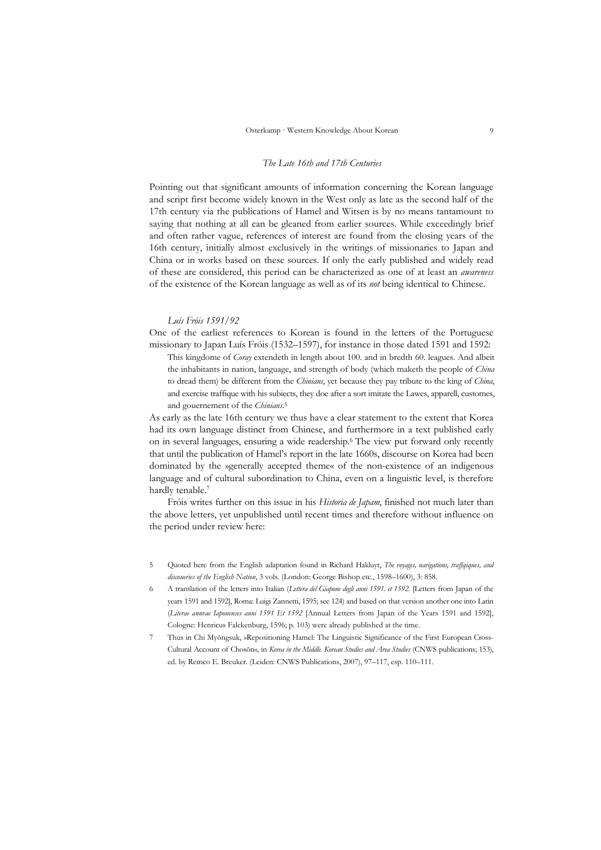#### *The Late 16th and 17th Centuries*

Pointing out that significant amounts of information concerning the Korean language and script first become widely known in the West only as late as the second half of the 17th century via the publications of Hamel and Witsen is by no means tantamount to saying that nothing at all can be gleaned from earlier sources. While exceedingly brief and often rather vague, references of interest are found from the closing years of the 16th century, initially almost exclusively in the writings of missionaries to Japan and China or in works based on these sources. If only the early published and widely read of these are considered, this period can be characterized as one of at least an *awareness* of the existence of the Korean language as well as of its *not* being identical to Chinese.

#### *Luís Fróis 1591/92*

One of the earliest references to Korean is found in the letters of the Portuguese missionary to Japan Luís Fróis (1532–1597), for instance in those dated 1591 and 1592:

This kingdome of *Coray* extendeth in length about 100. and in bredth 60. leagues. And albeit the inhabitants in nation, language, and strength of body (which maketh the people of *China* to dread them) be different from the *Chinians*, yet because they pay tribute to the king of *China*, and exercise traffique with his subiects, they doe after a sort imitate the Lawes, apparell, customes, and gouernement of the *Chinians*.5

As early as the late 16th century we thus have a clear statement to the extent that Korea had its own language distinct from Chinese, and furthermore in a text published early on in several languages, ensuring a wide readership.6 The view put forward only recently that until the publication of Hamel's report in the late 1660s, discourse on Korea had been dominated by the »generally accepted theme« of the non-existence of an indigenous language and of cultural subordination to China, even on a linguistic level, is therefore hardly tenable.7

 Fróis writes further on this issue in his *Historia de Japam*, finished not much later than the above letters, yet unpublished until recent times and therefore without influence on the period under review here:

- 5 Quoted here from the English adaptation found in Richard Hakluyt, *The voyages, navigations, traffqiques, and discoueries of the English Nation*, 3 vols. (London: George Bishop etc., 1598–1600), 3: 858.
- 6 A translation of the letters into Italian (*Lettera del Giapone degli anni 1591. et 1592.* [Letters from Japan of the years 1591 and 1592], Roma: Luigi Zannetti, 1595; see 124) and based on that version another one into Latin (*Literae annvae Iaponenses anni 1591 Et 1592* [Annual Letters from Japan of the Years 1591 and 1592], Cologne: Henricus Falckenburg, 1596; p. 103) were already published at the time.
- 7 Thus in Chi Myŏngsuk, »Repositioning Hamel: The Linguistic Significance of the First European Cross-Cultural Account of Chosŏn«, in *Korea in the Middle. Korean Studies and Area Studies* (CNWS publications; 153), ed. by Remco E. Breuker. (Leiden: CNWS Publications, 2007), 97–117, esp. 110–111.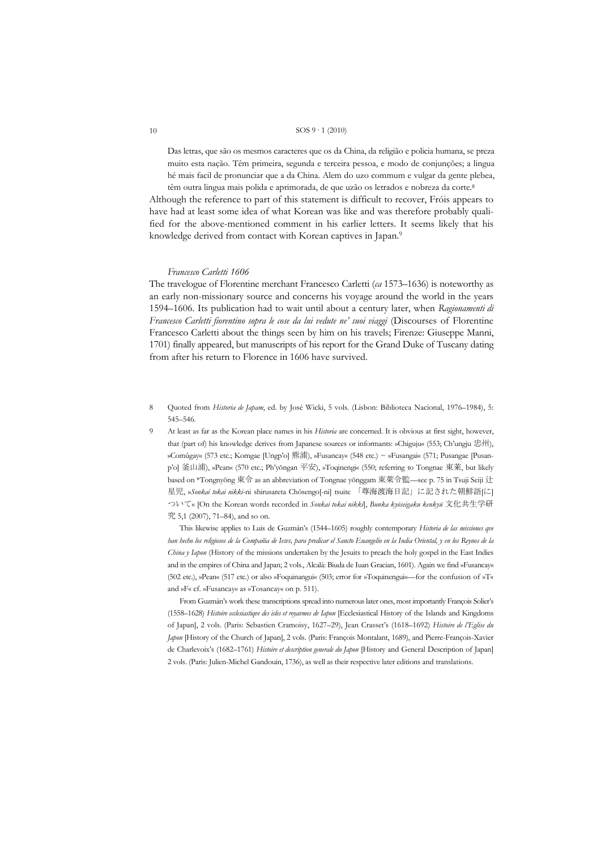Das letras, que são os mesmos caracteres que os da China, da religião e policia humana, se preza muito esta nação. Têm primeira, segunda e terceira pessoa, e modo de conjunções; a lingua hé mais facil de pronunciar que a da China. Alem do uzo commum e vulgar da gente plebea, têm outra lingua mais polida e aprimorada, de que uzão os letrados e nobreza da corte.8

Although the reference to part of this statement is difficult to recover, Fróis appears to have had at least some idea of what Korean was like and was therefore probably qualified for the above-mentioned comment in his earlier letters. It seems likely that his knowledge derived from contact with Korean captives in Japan.<sup>9</sup>

#### *Francesco Carletti 1606*

The travelogue of Florentine merchant Francesco Carletti (*ca* 1573–1636) is noteworthy as an early non-missionary source and concerns his voyage around the world in the years 1594–1606. Its publication had to wait until about a century later, when *Ragionamenti di Francesco Carletti fiorentino sopra le cose da lui vedute ne' suoi viaggi* (Discourses of Florentine Francesco Carletti about the things seen by him on his travels; Firenze: Giuseppe Manni, 1701) finally appeared, but manuscripts of his report for the Grand Duke of Tuscany dating from after his return to Florence in 1606 have survived.

8 Quoted from *Historia de Japam*, ed. by José Wicki, 5 vols. (Lisbon: Biblioteca Nacional, 1976–1984), 5: 545–546.

9 At least as far as the Korean place names in his *Historia* are concerned. It is obvious at first sight, however, that (part of) his knowledge derives from Japanese sources or informants: »Chiguju« (553; Ch'ungju 忠州), »Comûgay« (573 etc.; Komgae [Ungp'o] 熊浦), »Fusancay« (548 etc.) ~ »Fusangai« (571; Pusangae [Pusanp'o] 釜山浦), »Pean« (570 etc.; Ph'yŏngan 平安), »Toqinengi« (550; referring to Tongnae 東莱, but likely based on \*Tongnyŏng 東令 as an abbreviation of Tongnae yŏnggam 東萊令監—see p. 75 in Tsuji Seiji 辻 星児, »*Sonkai tokai nikki*-ni shirusareta Chōsengo[-ni] tsuite 「尊海渡海日記」に記された朝鮮語[に] ついて« [On the Korean words recorded in *Sonkai tokai nikki*], *Bunka kyōseigaku kenkyū* 文化共生学研 究 5,1 (2007), 71–84), and so on.

 This likewise applies to Luis de Guzmán's (1544–1605) roughly contemporary *Historia de las missiones qve han hecho los religiosos de la Compañia de Iesvs, para predicar el Sancto Euangelio en la India Oriental, y en los Reynos de la China y Iapon* (History of the missions undertaken by the Jesuits to preach the holy gospel in the East Indies and in the empires of China and Japan; 2 vols., Alcalá: Biuda de Iuan Gracian, 1601). Again we find »Fusancay« (502 etc.), »Pean« (517 etc.) or also »Foquinangui« (503; error for »Toquinengui«—for the confusion of »T« and »F« cf. »Fusancay« as »Tosancay« on p. 511).

 From Guzmán's work these transcriptions spread into numerous later ones, most importantly François Solier's (1558–1628) *Histoire ecclesiastiqve des isles et royavmes dv Iapon* [Ecclesiastical History of the Islands and Kingdoms of Japan], 2 vols. (Paris: Sebastien Cramoisy, 1627–29), Jean Crasset's (1618–1692) *Histoire de l'Eglise du Japon* [History of the Church of Japan], 2 vols. (Paris: François Montalant, 1689), and Pierre-François-Xavier de Charlevoix's (1682–1761) *Histoire et description generale du Japon* [History and General Description of Japan] 2 vols. (Paris: Julien-Michel Gandouin, 1736), as well as their respective later editions and translations.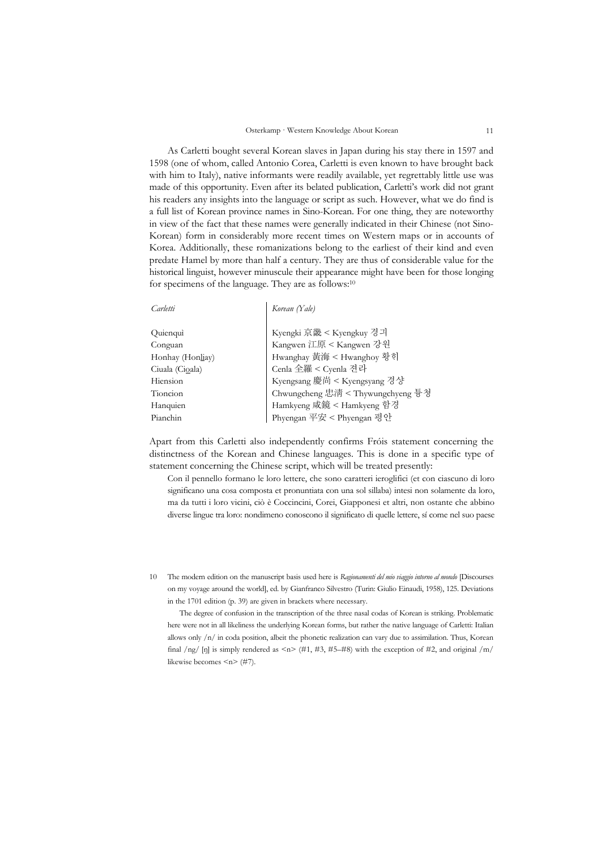As Carletti bought several Korean slaves in Japan during his stay there in 1597 and 1598 (one of whom, called Antonio Corea, Carletti is even known to have brought back with him to Italy), native informants were readily available, yet regrettably little use was made of this opportunity. Even after its belated publication, Carletti's work did not grant his readers any insights into the language or script as such. However, what we do find is a full list of Korean province names in Sino-Korean. For one thing, they are noteworthy in view of the fact that these names were generally indicated in their Chinese (not Sino-Korean) form in considerably more recent times on Western maps or in accounts of Korea. Additionally, these romanizations belong to the earliest of their kind and even predate Hamel by more than half a century. They are thus of considerable value for the historical linguist, however minuscule their appearance might have been for those longing for specimens of the language. They are as follows:10

| Carletti         | Korean (Yale)                                       |
|------------------|-----------------------------------------------------|
|                  |                                                     |
| Quienqui         | Kyengki 京畿 < Kyengkuy 경긔<br>Kangwen 江原 < Kangwen 강원 |
| Conguan          |                                                     |
| Honhay (Honliay) | Hwanghay 黃海 < Hwanghoy 황회                           |
| Ciuala (Cioala)  | Cenla 全羅 < Cyenla 전라                                |
| Hiension         | Kyengsang 慶尚 < Kyengsyang 경상                        |
| Tioncion         | Chwungcheng 忠淸 < Thywungchyeng 튱쳥                   |
| Hanquien         | Hamkyeng 咸鏡 < Hamkyeng 함경                           |
| Pianchin         | Phyengan 平安 < Phyengan 평안                           |

Apart from this Carletti also independently confirms Fróis statement concerning the distinctness of the Korean and Chinese languages. This is done in a specific type of statement concerning the Chinese script, which will be treated presently:

Con il pennello formano le loro lettere, che sono caratteri ieroglifici (et con ciascuno di loro significano una cosa composta et pronuntiata con una sol sillaba) intesi non solamente da loro, ma da tutti i loro vicini, ciò è Coccincini, Corei, Giapponesi et altri, non ostante che abbino diverse lingue tra loro: nondimeno conoscono il significato di quelle lettere, sí come nel suo paese

10 The modern edition on the manuscript basis used here is *Ragionamenti del mio viaggio intorno al mondo* [Discourses on my voyage around the world], ed. by Gianfranco Silvestro (Turin: Giulio Einaudi, 1958), 125. Deviations in the 1701 edition (p. 39) are given in brackets where necessary.

 The degree of confusion in the transcription of the three nasal codas of Korean is striking. Problematic here were not in all likeliness the underlying Korean forms, but rather the native language of Carletti: Italian allows only /n/ in coda position, albeit the phonetic realization can vary due to assimilation. Thus, Korean final  $\log$  [n] is simply rendered as  $\leq n$  = (#1, #3, #5–#8) with the exception of #2, and original  $\ln$ likewise becomes  $\leq n$  (#7).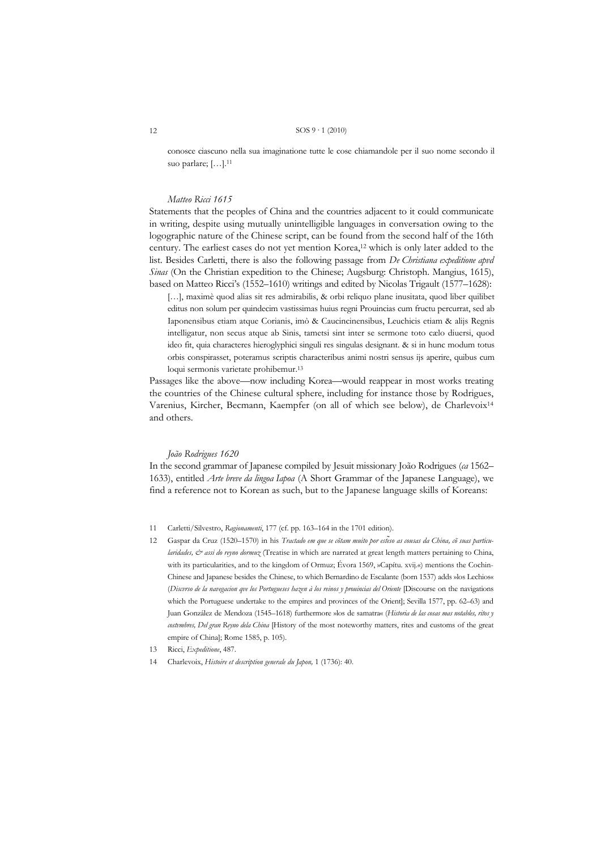conosce ciascuno nella sua imaginatione tutte le cose chiamandole per il suo nome secondo il suo parlare; […].11

#### *Matteo Ricci 1615*

Statements that the peoples of China and the countries adjacent to it could communicate in writing, despite using mutually unintelligible languages in conversation owing to the logographic nature of the Chinese script, can be found from the second half of the 16th century. The earliest cases do not yet mention Korea,<sup>12</sup> which is only later added to the list. Besides Carletti, there is also the following passage from *De Christiana expeditione apvd Sinas* (On the Christian expedition to the Chinese; Augsburg: Christoph. Mangius, 1615), based on Matteo Ricci's (1552–1610) writings and edited by Nicolas Trigault (1577–1628):

[...], maximè quod alias sit res admirabilis, & orbi reliquo plane inusitata, quod liber quilibet editus non solum per quindecim vastissimas huius regni Prouincias cum fructu percurrat, sed ab Iaponensibus etiam atque Corianis, imò & Caucincinensibus, Leuchicis etiam & alijs Regnis intelligatur, non secus atque ab Sinis, tametsi sint inter se sermone toto cælo diuersi, quod ideo fit, quia characteres hieroglyphici singuli res singulas designant. & si in hunc modum totus orbis conspirasset, poteramus scriptis characteribus animi nostri sensus ijs aperire, quibus cum loqui sermonis varietate prohibemur.13

Passages like the above—now including Korea—would reappear in most works treating the countries of the Chinese cultural sphere, including for instance those by Rodrigues, Varenius, Kircher, Becmann, Kaempfer (on all of which see below), de Charlevoix14 and others.

#### *João Rodrigues 1620*

In the second grammar of Japanese compiled by Jesuit missionary João Rodrigues (*ca* 1562– 1633), entitled *Arte breve da lingoa Iapoa* (A Short Grammar of the Japanese Language), we find a reference not to Korean as such, but to the Japanese language skills of Koreans:

- 11 Carletti/Silvestro, *Ragionamenti*, 177 (cf. pp. 163–164 in the 1701 edition).
- 12 Gaspar da Cruz (1520–1570) in his *Tractado em que se cõtam muito por estẽso as cousas da China, cõ suas particularidades, & assi do reyno dormuz* (Treatise in which are narrated at great length matters pertaining to China, with its particularities, and to the kingdom of Ormuz; Évora 1569, »Capítu. xvij.«) mentions the Cochin-Chinese and Japanese besides the Chinese, to which Bernardino de Escalante (born 1537) adds »los Lechios« (*Discvrso de la navegacion qve los Portugueses hazen à los reinos y prouincias del Oriente* [Discourse on the navigations which the Portuguese undertake to the empires and provinces of the Orient]; Sevilla 1577, pp. 62–63) and Juan González de Mendoza (1545–1618) furthermore »los de samatra« (*Historia de las cosas mas notables, ritos y costvmbres, Del gran Reyno dela China* [History of the most noteworthy matters, rites and customs of the great empire of China]; Rome 1585, p. 105).
- 13 Ricci, *Expeditione*, 487.

<sup>14</sup> Charlevoix, *Histoire et description generale du Japon,* 1 (1736): 40.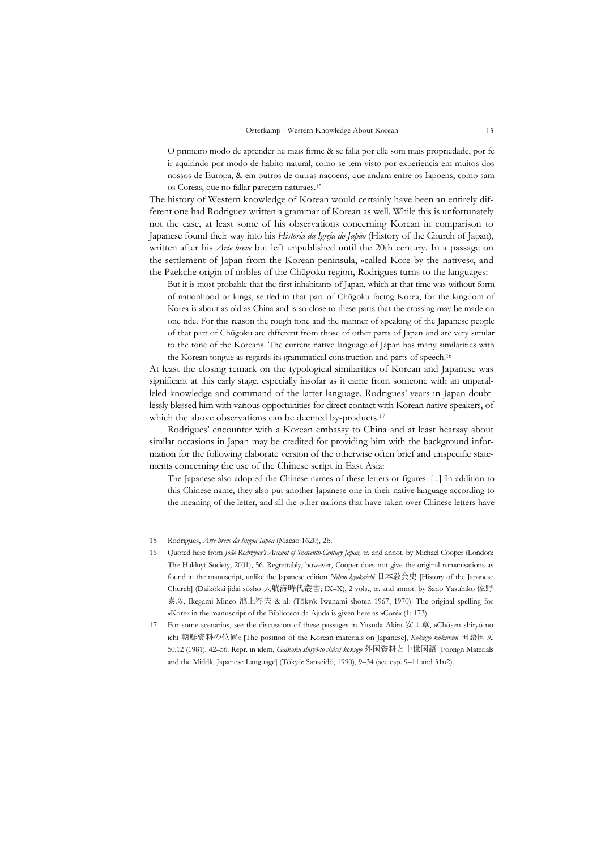O primeiro modo de aprender he mais firme & se falla por elle som mais propriedade, por fe ir aquirindo por modo de habito natural, como se tem visto por experiencia em muitos dos nossos de Europa, & em outros de outras naçoens, que andam entre os Iapoens, como sam os Coreas, que no fallar parecem naturaes.15

The history of Western knowledge of Korean would certainly have been an entirely different one had Rodriguez written a grammar of Korean as well. While this is unfortunately not the case, at least some of his observations concerning Korean in comparison to Japanese found their way into his *Historia da Igreja do Japão* (History of the Church of Japan), written after his *Arte breve* but left unpublished until the 20th century. In a passage on the settlement of Japan from the Korean peninsula, »called Kore by the natives«, and the Paekche origin of nobles of the Chūgoku region, Rodrigues turns to the languages:

But it is most probable that the first inhabitants of Japan, which at that time was without form of nationhood or kings, settled in that part of Chūgoku facing Korea, for the kingdom of Korea is about as old as China and is so close to these parts that the crossing may be made on one tide. For this reason the rough tone and the manner of speaking of the Japanese people of that part of Chūgoku are different from those of other parts of Japan and are very similar to the tone of the Koreans. The current native language of Japan has many similarities with the Korean tongue as regards its grammatical construction and parts of speech.16

At least the closing remark on the typological similarities of Korean and Japanese was significant at this early stage, especially insofar as it came from someone with an unparalleled knowledge and command of the latter language. Rodrigues' years in Japan doubtlessly blessed him with various opportunities for direct contact with Korean native speakers, of which the above observations can be deemed by-products.<sup>17</sup>

 Rodrigues' encounter with a Korean embassy to China and at least hearsay about similar occasions in Japan may be credited for providing him with the background information for the following elaborate version of the otherwise often brief and unspecific statements concerning the use of the Chinese script in East Asia:

The Japanese also adopted the Chinese names of these letters or figures. [...] In addition to this Chinese name, they also put another Japanese one in their native language according to the meaning of the letter, and all the other nations that have taken over Chinese letters have

15 Rodrigues, *Arte breve da lingoa Iapoa* (Macao 1620), 2b.

- 16 Quoted here from *João Rodrigues's Account of Sixteenth-Century Japan,* tr. and annot. by Michael Cooper (London: The Hakluyt Society, 2001), 56. Regrettably, however, Cooper does not give the original romanisations as found in the manuscript, unlike the Japanese edition *Nihon kyōkaishi* 日本教会史 [History of the Japanese Church] (Daikōkai jidai sōsho 大航海時代叢書; IX–X), 2 vols., tr. and annot. by Sano Yasuhiko 佐野 泰彦, Ikegami Mineo 池上岑夫 & al. (Tōkyō: Iwanami shoten 1967, 1970). The original spelling for »Kore« in the manuscript of the Biblioteca da Ajuda is given here as »Corê« (1: 173).
- 17 For some scenarios, see the discussion of these passages in Yasuda Akira 安田章, »Chōsen shiryō-no ichi 朝鮮資料の位置« [The position of the Korean materials on Japanese], *Kokugo kokubun* 国語国文 50,12 (1981), 42–56. Repr. in idem, *Gaikoku shiryō-to chūsei kokugo* 外国資料と中世国語 [Foreign Materials and the Middle Japanese Language] (Tōkyō: Sanseidō, 1990), 9–34 (see esp. 9–11 and 31n2).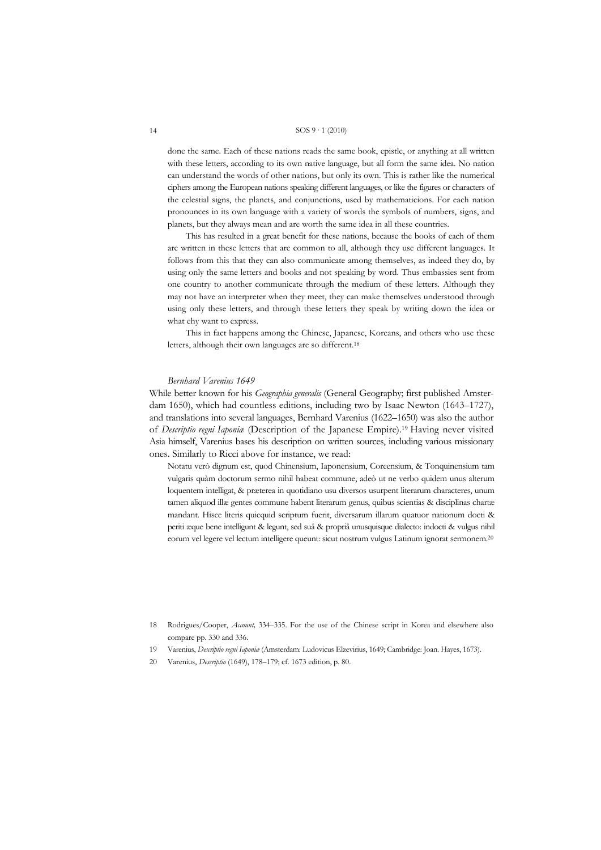done the same. Each of these nations reads the same book, epistle, or anything at all written with these letters, according to its own native language, but all form the same idea. No nation can understand the words of other nations, but only its own. This is rather like the numerical ciphers among the European nations speaking different languages, or like the figures or characters of the celestial signs, the planets, and conjunctions, used by mathematicions. For each nation pronounces in its own language with a variety of words the symbols of numbers, signs, and planets, but they always mean and are worth the same idea in all these countries.

 This has resulted in a great benefit for these nations, because the books of each of them are written in these letters that are common to all, although they use different languages. It follows from this that they can also communicate among themselves, as indeed they do, by using only the same letters and books and not speaking by word. Thus embassies sent from one country to another communicate through the medium of these letters. Although they may not have an interpreter when they meet, they can make themselves understood through using only these letters, and through these letters they speak by writing down the idea or what ehy want to express.

 This in fact happens among the Chinese, Japanese, Koreans, and others who use these letters, although their own languages are so different.18

#### *Bernhard Varenius 1649*

While better known for his *Geographia generalis* (General Geography; first published Amsterdam 1650), which had countless editions, including two by Isaac Newton (1643–1727), and translations into several languages, Bernhard Varenius (1622–1650) was also the author of *Descriptio regni Iaponiæ* (Description of the Japanese Empire).19 Having never visited Asia himself, Varenius bases his description on written sources, including various missionary ones. Similarly to Ricci above for instance, we read:

Notatu verò dignum est, quod Chinensium, Iaponensium, Coreensium, & Tonquinensium tam vulgaris quàm doctorum sermo nihil habeat commune, adeò ut ne verbo quidem unus alterum loquentem intelligat, & præterea in quotidiano usu diversos usurpent literarum characteres, unum tamen aliquod illæ gentes commune habent literarum genus, quibus scientias & disciplinas chartæ mandant. Hisce literis quicquid scriptum fuerit, diversarum illarum quatuor nationum docti & periti æque bene intelligunt & legunt, sed suâ & propriâ unusquisque dialecto: indocti & vulgus nihil eorum vel legere vel lectum intelligere queunt: sicut nostrum vulgus Latinum ignorat sermonem.20

20 Varenius, *Descriptio* (1649), 178–179; cf. 1673 edition, p. 80.

<sup>18</sup> Rodrigues/Cooper, *Account,* 334–335. For the use of the Chinese script in Korea and elsewhere also compare pp. 330 and 336.

<sup>19</sup> Varenius, *Descriptio regni Iaponiæ* (Amsterdam: Ludovicus Elzevirius, 1649; Cambridge: Joan. Hayes, 1673).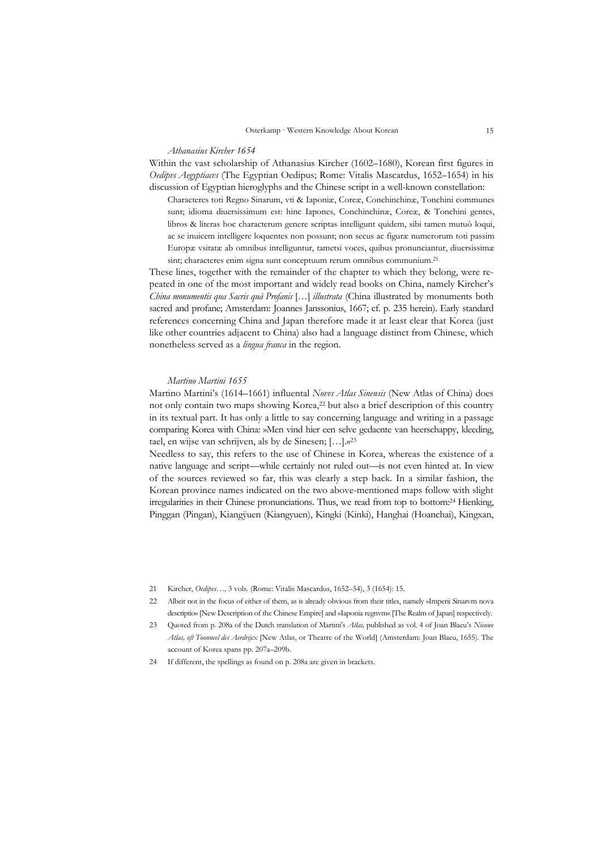#### *Athanasius Kircher 1654*

Within the vast scholarship of Athanasius Kircher (1602–1680), Korean first figures in *Oedipvs Aegyptiacvs* (The Egyptian Oedipus; Rome: Vitalis Mascardus, 1652–1654) in his discussion of Egyptian hieroglyphs and the Chinese script in a well-known constellation:

Characteres toti Regno Sinarum, vti & Iaponiæ, Coreæ, Conchinchinæ, Tonchini communes sunt; idioma diuersissimum est: hinc Iapones, Conchinchinæ, Coreæ, & Tonchini gentes, libros & literas hoc characterum genere scriptas intelligunt quidem, sibi tamen mutuò loqui, ac se inuicem intelligere loquentes non possunt; non secus ac figuræ numerorum toti passim Europæ vsitatæ ab omnibus intelliguntur, tametsi voces, quibus pronunciantur, diuersissimæ sint; characteres enim signa sunt conceptuum rerum omnibus communium.<sup>21</sup>

These lines, together with the remainder of the chapter to which they belong, were repeated in one of the most important and widely read books on China, namely Kircher's *China monumentis qua Sacris quà Profanis* […] *illustrata* (China illustrated by monuments both sacred and profane; Amsterdam: Joannes Janssonius, 1667; cf. p. 235 herein). Early standard references concerning China and Japan therefore made it at least clear that Korea (just like other countries adjacent to China) also had a language distinct from Chinese, which nonetheless served as a *lingua franca* in the region.

#### *Martino Martini 1655*

Martino Martini's (1614–1661) influental *Novvs Atlas Sinensis* (New Atlas of China) does not only contain two maps showing Korea,<sup>22</sup> but also a brief description of this country in its textual part. It has only a little to say concerning language and writing in a passage comparing Korea with China: »Men vind hier een selve gedaente van heerschappy, kleeding, tael, en wijse van schrijven, als by de Sinesen; […].«23

Needless to say, this refers to the use of Chinese in Korea, whereas the existence of a native language and script—while certainly not ruled out—is not even hinted at. In view of the sources reviewed so far, this was clearly a step back. In a similar fashion, the Korean province names indicated on the two above-mentioned maps follow with slight irregularities in their Chinese pronunciations. Thus, we read from top to bottom:24 Hienking, Pinggan (Pingan), Kiangÿuen (Kiangyuen), Kingki (Kinki), Hanghai (Hoanchai), Kingxan,

- 21 Kircher, *Oedipvs…,* 3 vols. (Rome: Vitalis Mascardus, 1652–54), 3 (1654): 15.
- 22 Albeit not in the focus of either of them, as is already obvious from their titles, namely »Imperii Sinarvm nova descriptio« [New Description of the Chinese Empire] and »Iaponia regnvm« [The Realm of Japan] respectively.
- 23 Quoted from p. 208a of the Dutch translation of Martini's *Atlas,* published as vol. 4 of Joan Blaeu's *Nieuwe Atlas, oft Toonneel des Aerdrijcx* [New Atlas, or Theatre of the World] (Amsterdam: Joan Blaeu, 1655). The account of Korea spans pp. 207a–209b.
- 24 If different, the spellings as found on p. 208a are given in brackets.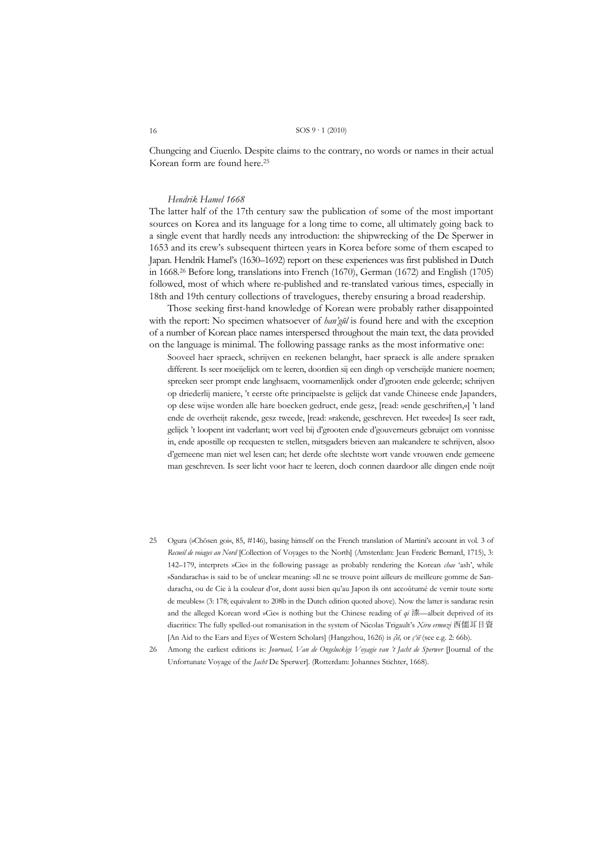Chungcing and Ciuenlo. Despite claims to the contrary, no words or names in their actual Korean form are found here.25

#### *Hendrik Hamel 1668*

The latter half of the 17th century saw the publication of some of the most important sources on Korea and its language for a long time to come, all ultimately going back to a single event that hardly needs any introduction: the shipwrecking of the De Sperwer in 1653 and its crew's subsequent thirteen years in Korea before some of them escaped to Japan. Hendrik Hamel's (1630–1692) report on these experiences was first published in Dutch in 1668.26 Before long, translations into French (1670), German (1672) and English (1705) followed, most of which where re-published and re-translated various times, especially in 18th and 19th century collections of travelogues, thereby ensuring a broad readership.

 Those seeking first-hand knowledge of Korean were probably rather disappointed with the report: No specimen whatsoever of *han'gŭl* is found here and with the exception of a number of Korean place names interspersed throughout the main text, the data provided on the language is minimal. The following passage ranks as the most informative one:

Sooveel haer spraeck, schrijven en reekenen belanght, haer spraeck is alle andere spraaken different. Is seer moeijelijck om te leeren, doordien sij een dingh op verscheijde maniere noemen; spreeken seer prompt ende langhsaem, voornamenlijck onder d'grooten ende geleerde; schrijven op driederlij maniere, 't eerste ofte principaelste is gelijck dat vande Chineese ende Japanders, op dese wijse worden alle hare boecken gedruct, ende gesz, [read: »ende geschriften,«] 't land ende de overheijt rakende, gesz tweede, [read: »rakende, geschreven. Het tweede«] Is seer radt, gelijck 't loopent int vaderlant; wort veel bij d'grooten ende d'gouverneurs gebruijct om vonnisse in, ende apostille op recquesten te stellen, mitsgaders brieven aan malcandere te schrijven, alsoo d'gemeene man niet wel lesen can; het derde ofte slechtste wort vande vrouwen ende gemeene man geschreven. Is seer licht voor haer te leeren, doch connen daardoor alle dingen ende noijt

- 25 Ogura (»Chōsen goi«, 85, #146), basing himself on the French translation of Martini's account in vol. 3 of *Recueil de voiages au Nord* [Collection of Voyages to the North] (Amsterdam: Jean Frederic Bernard, 1715), 3: 142–179, interprets »Cie« in the following passage as probably rendering the Korean *chae* 'ash', while »Sandaracha« is said to be of unclear meaning: »Il ne se trouve point ailleurs de meilleure gomme de Sandaracha, ou de Cie à la couleur d'or, dont aussi bien qu'au Japon ils ont accoûtumé de vernir toute sorte de meubles« (3: 178; equivalent to 208b in the Dutch edition quoted above). Now the latter is sandarac resin and the alleged Korean word »Cie« is nothing but the Chinese reading of *qi* 漆—albeit deprived of its diacritics: The fully spelled-out romanisation in the system of Nicolas Trigault's *Xiru ermuzi* 西儒耳目資 [An Aid to the Ears and Eyes of Western Scholars] (Hangzhou, 1626) is *ç̔iĕ,* or *ç'iĕ* (see e.g. 2: 66b).
- 26 Among the earliest editions is: *Journael, Van de Ongeluckige Voyagie van 't Jacht de Sperwer* [Journal of the Unfortunate Voyage of the *Jacht* De Sperwer]. (Rotterdam: Johannes Stichter, 1668).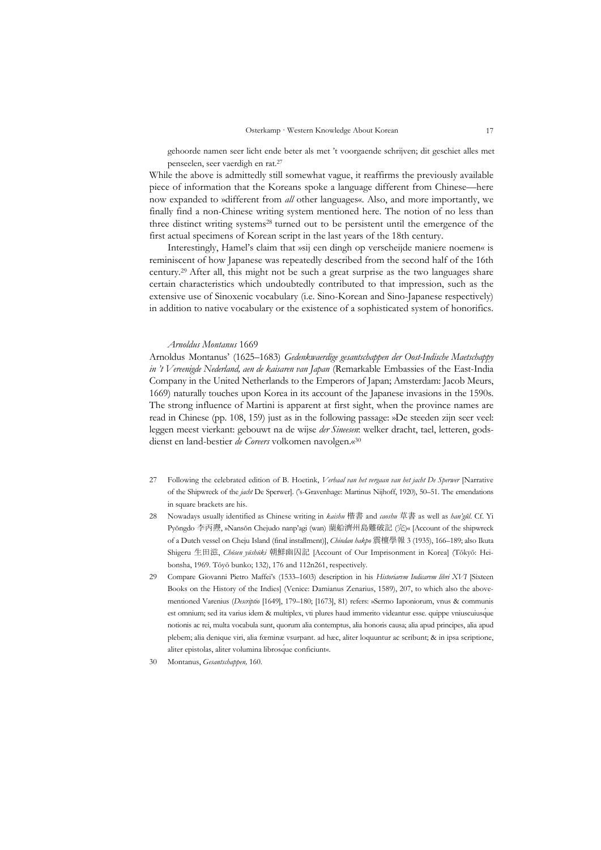gehoorde namen seer licht ende beter als met 't voorgaende schrijven; dit geschiet alles met penseelen, seer vaerdigh en rat.27

While the above is admittedly still somewhat vague, it reaffirms the previously available piece of information that the Koreans spoke a language different from Chinese—here now expanded to »different from *all* other languages«. Also, and more importantly, we finally find a non-Chinese writing system mentioned here. The notion of no less than three distinct writing systems<sup>28</sup> turned out to be persistent until the emergence of the first actual specimens of Korean script in the last years of the 18th century.

 Interestingly, Hamel's claim that »sij een dingh op verscheijde maniere noemen« is reminiscent of how Japanese was repeatedly described from the second half of the 16th century.29 After all, this might not be such a great surprise as the two languages share certain characteristics which undoubtedly contributed to that impression, such as the extensive use of Sinoxenic vocabulary (i.e. Sino-Korean and Sino-Japanese respectively) in addition to native vocabulary or the existence of a sophisticated system of honorifics.

#### *Arnoldus Montanus* 1669

Arnoldus Montanus' (1625–1683) *Gedenkwaerdige gesantschappen der Oost-Indische Maetschappy in 't Vereenigde Nederland, aen de kaisaren van Japan* (Remarkable Embassies of the East-India Company in the United Netherlands to the Emperors of Japan; Amsterdam: Jacob Meurs, 1669) naturally touches upon Korea in its account of the Japanese invasions in the 1590s. The strong influence of Martini is apparent at first sight, when the province names are read in Chinese (pp. 108, 159) just as in the following passage: »De steeden zijn seer veel: leggen meest vierkant: gebouwt na de wijse *der Sineesen*: welker dracht, tael, letteren, godsdienst en land-bestier *de Coreers* volkomen navolgen.«30

- 27 Following the celebrated edition of B. Hoetink, *Verhaal van het vergaan van het jacht De Sperwer* [Narrative of the Shipwreck of the *jacht* De Sperwer]. ('s-Gravenhage: Martinus Nijhoff, 1920), 50–51. The emendations in square brackets are his.
- 28 Nowadays usually identified as Chinese writing in *kaishu* 楷書 and *caoshu* 草書 as well as *han'gŭl*. Cf. Yi Pyŏngdo 李丙燾, »Nansŏn Chejudo nanp'agi (wan) 蘭船濟州島難破記 (完)« [Account of the shipwreck of a Dutch vessel on Cheju Island (final installment)], *Chindan hakpo* 震檀學報 3 (1935), 166–189; also Ikuta Shigeru 生田滋, *Chōsen yūshūki* 朝鮮幽囚記 [Account of Our Imprisonment in Korea] (Tōkyō: Heibonsha, 1969. Tōyō bunko; 132), 176 and 112n261, respectively.
- 29 Compare Giovanni Pietro Maffei's (1533–1603) description in his *Historiarvm Indicarvm libri XVI* [Sixteen Books on the History of the Indies] (Venice: Damianus Zenarius, 1589), 207, to which also the abovementioned Varenius (*Descriptio* [1649], 179–180; [1673], 81) refers: »Sermo Iaponiorum, vnus & communis est omnium; sed ita varius idem & multiplex, vti plures haud immerito videantur esse. quippe vniuscuiusq́ue notionis ac rei, multa vocabula sunt, quorum alia contemptus, alia honoris causa; alia apud principes, alia apud plebem; alia denique viri, alia fœminæ vsurpant. ad hæc, aliter loquuntur ac scribunt; & in ipsa scriptione, aliter epistolas, aliter volumina librosque conficiunt«.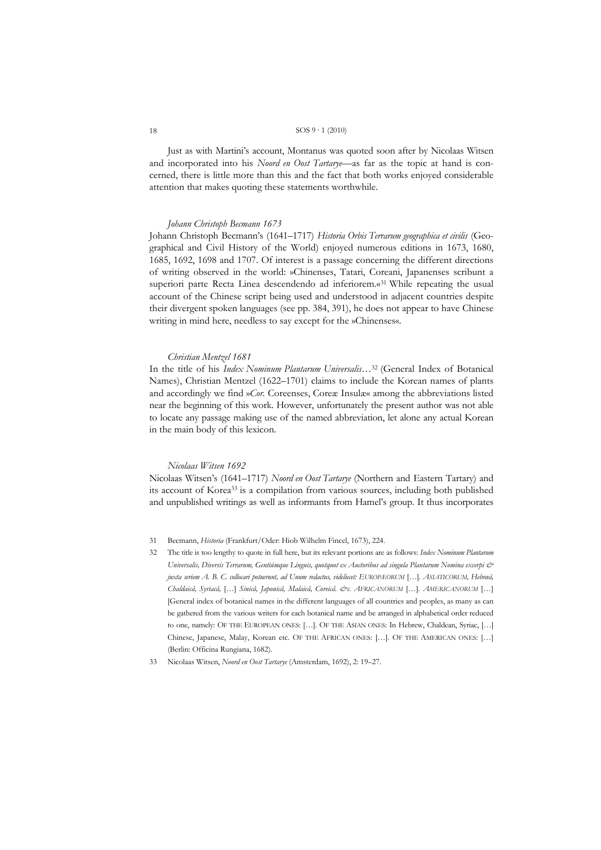Just as with Martini's account, Montanus was quoted soon after by Nicolaas Witsen and incorporated into his *Noord en Oost Tartarye*—as far as the topic at hand is concerned, there is little more than this and the fact that both works enjoyed considerable attention that makes quoting these statements worthwhile.

#### *Johann Christoph Becmann 1673*

Johann Christoph Becmann's (1641–1717) *Historia Orbis Terrarum geographica et civilis* (Geographical and Civil History of the World) enjoyed numerous editions in 1673, 1680, 1685, 1692, 1698 and 1707. Of interest is a passage concerning the different directions of writing observed in the world: »Chinenses, Tatari, Coreani, Japanenses scribunt a superiori parte Recta Linea descendendo ad inferiorem.«31 While repeating the usual account of the Chinese script being used and understood in adjacent countries despite their divergent spoken languages (see pp. 384, 391), he does not appear to have Chinese writing in mind here, needless to say except for the »Chinenses«.

#### *Christian Mentzel 1681*

In the title of his *Index Nominum Plantarum Universalis…*32 (General Index of Botanical Names), Christian Mentzel (1622–1701) claims to include the Korean names of plants and accordingly we find »*Cor.* Coreenses, Coreæ Insulæ« among the abbreviations listed near the beginning of this work. However, unfortunately the present author was not able to locate any passage making use of the named abbreviation, let alone any actual Korean in the main body of this lexicon.

#### *Nicolaas Witsen 1692*

Nicolaas Witsen's (1641–1717) *Noord en Oost Tartarye* (Northern and Eastern Tartary) and its account of Korea33 is a compilation from various sources, including both published and unpublished writings as well as informants from Hamel's group. It thus incorporates

- 31 Becmann, *Historia* (Frankfurt/Oder: Hiob Wilhelm Fincel, 1673), 224.
- 32 The title is too lengthy to quote in full here, but its relevant portions are as follows: *Index Nominum Plantarum Universalis, Diversis Terrarum, Gentiúmque Linguis, quotquot ex Auctoribus ad singula Plantarum Nomina excerpi & juxta seriem A. B. C. collocari potuerunt, ad Unum redactus, videliecet: EUROPÆORUM* […]*. ASIATICORUM, Hebræâ, Chaldaicâ, Syriacâ,* […] *Sinicâ, Japonicâ, Malaicâ, Coreicâ. &c. AFRICANORUM* […]*. AMERICANORUM* […] [General index of botanical names in the different languages of all countries and peoples, as many as can be gathered from the various writers for each botanical name and be arranged in alphabetical order reduced to one, namely: OF THE EUROPEAN ONES: [...]. OF THE ASIAN ONES: In Hebrew, Chaldean, Syriac, [...] Chinese, Japanese, Malay, Korean etc. OF THE AFRICAN ONES: […]. OF THE AMERICAN ONES: […] (Berlin: Officina Rungiana, 1682).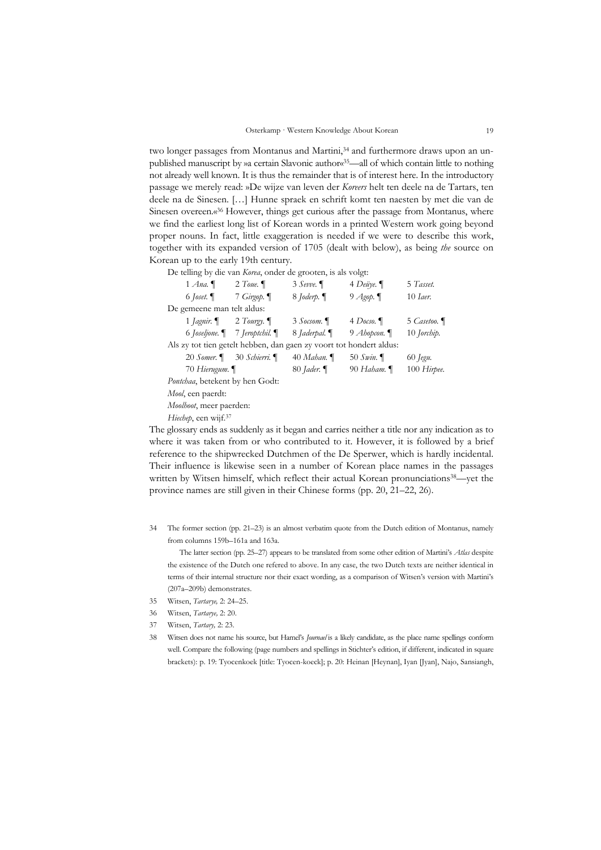two longer passages from Montanus and Martini,<sup>34</sup> and furthermore draws upon an unpublished manuscript by »a certain Slavonic author«<sup>35</sup>—all of which contain little to nothing not already well known. It is thus the remainder that is of interest here. In the introductory passage we merely read: »De wijze van leven der *Koreers* helt ten deele na de Tartars, ten deele na de Sinesen. […] Hunne spraek en schrift komt ten naesten by met die van de Sinesen overeen.«36 However, things get curious after the passage from Montanus, where we find the earliest long list of Korean words in a printed Western work going beyond proper nouns. In fact, little exaggeration is needed if we were to describe this work, together with its expanded version of 1705 (dealt with below), as being *the* source on Korean up to the early 19th century.

De telling by die van *Korea*, onder de grooten, is als volgt:

| $1$ Ana.                                                            | 2 Toue. $\P$                                                      | $3 \text{ Sevve}$ .      | $4$ Deüye.      | 5 Tasset.             |
|---------------------------------------------------------------------|-------------------------------------------------------------------|--------------------------|-----------------|-----------------------|
| 6 <i>Joset</i> . $\P$                                               | 7 Girgop. $\P$                                                    | 8 <i>Joderp</i> . $\P$   | 9 $A$ gop. $\P$ | $10$ <i>Laer.</i>     |
| De gemeene man telt aldus:                                          |                                                                   |                          |                 |                       |
|                                                                     | 1 <i>Jagnir</i> . $\blacksquare$ 2 <i>Tourgy</i> . $\blacksquare$ | 3 Socsom.                | 4 Docso. $\P$   | 5 Casetoo.            |
|                                                                     | 6 <i>Joseljone</i> .   7 <i>Jeroptchil</i> .                      | 8 <i>Jaderpal</i> . $\P$ | 9 Ahopcon.      | $10$ <i>Jorchip</i> . |
| Als zy tot tien getelt hebben, dan gaen zy voort tot hondert aldus: |                                                                   |                          |                 |                       |
|                                                                     | 20 Somer. 1 30 Schierri. 1                                        | 40 Mahan.                | 50 $Swin$ .     | 60 <i>Jegu</i> .      |
| 70 Hierugum.                                                        |                                                                   | 80 <i>Jader</i> . $\P$   | 90 Haham.       | 100 Hirpee.           |
| Pontchaa, betekent by hen Godt:                                     |                                                                   |                          |                 |                       |
| <i>Mool</i> , een paerdt:                                           |                                                                   |                          |                 |                       |
| Moolhoot, meer paerden:                                             |                                                                   |                          |                 |                       |
| <i>Hiechep</i> , een wijf. <sup>37</sup>                            |                                                                   |                          |                 |                       |

The glossary ends as suddenly as it began and carries neither a title nor any indication as to where it was taken from or who contributed to it. However, it is followed by a brief reference to the shipwrecked Dutchmen of the De Sperwer, which is hardly incidental. Their influence is likewise seen in a number of Korean place names in the passages written by Witsen himself, which reflect their actual Korean pronunciations<sup>38</sup>—yet the province names are still given in their Chinese forms (pp. 20, 21–22, 26).

34 The former section (pp. 21–23) is an almost verbatim quote from the Dutch edition of Montanus, namely from columns 159b–161a and 163a.

 The latter section (pp. 25–27) appears to be translated from some other edition of Martini's *Atlas* despite the existence of the Dutch one refered to above. In any case, the two Dutch texts are neither identical in terms of their internal structure nor their exact wording, as a comparison of Witsen's version with Martini's (207a–209b) demonstrates.

- 35 Witsen, *Tartarye,* 2: 24–25.
- 36 Witsen, *Tartarye,* 2: 20.
- 37 Witsen, *Tartary,* 2: 23.
- 38 Witsen does not name his source, but Hamel's *Journael* is a likely candidate, as the place name spellings conform well. Compare the following (page numbers and spellings in Stichter's edition, if different, indicated in square brackets): p. 19: Tyocenkoek [title: Tyocen-koeck]; p. 20: Heinan [Heynan], Iyan [Jyan], Najo, Sansiangh,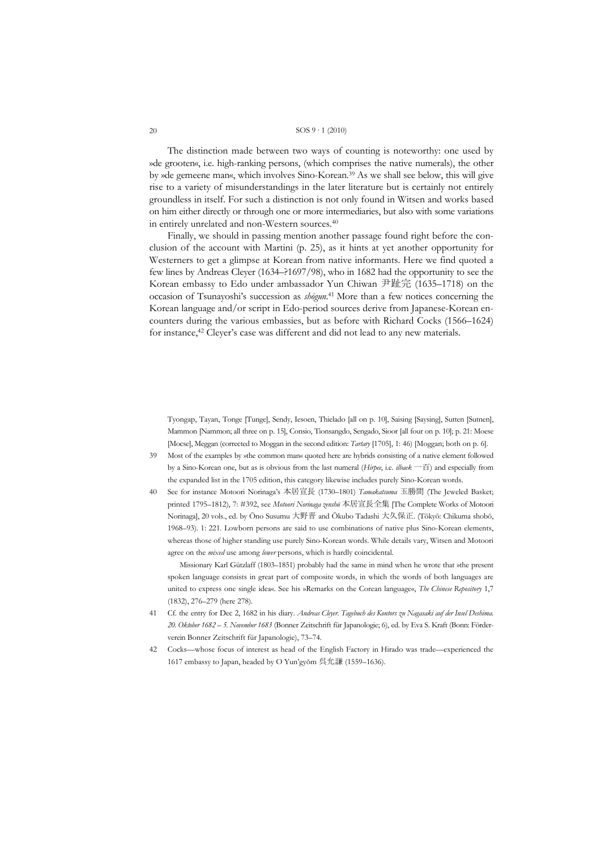The distinction made between two ways of counting is noteworthy: one used by »de grooten«, i.e. high-ranking persons, (which comprises the native numerals), the other by »de gemeene man«, which involves Sino-Korean.39 As we shall see below, this will give rise to a variety of misunderstandings in the later literature but is certainly not entirely groundless in itself. For such a distinction is not only found in Witsen and works based on him either directly or through one or more intermediaries, but also with some variations in entirely unrelated and non-Western sources.40

 Finally, we should in passing mention another passage found right before the conclusion of the account with Martini (p. 25), as it hints at yet another opportunity for Westerners to get a glimpse at Korean from native informants. Here we find quoted a few lines by Andreas Cleyer (1634–?1697/98), who in 1682 had the opportunity to see the Korean embassy to Edo under ambassador Yun Chiwan 尹趾完 (1635–1718) on the occasion of Tsunayoshi's succession as *shōgun*. 41 More than a few notices concerning the Korean language and/or script in Edo-period sources derive from Japanese-Korean encounters during the various embassies, but as before with Richard Cocks (1566–1624) for instance,<sup>42</sup> Cleyer's case was different and did not lead to any new materials.

Tyongap, Tayan, Tonge [Tunge], Sendy, Iesoen, Thielado [all on p. 10], Saising [Saysing], Sutten [Sutnen], Mammon [Nammon; all three on p. 15], Consio, Tionsangdo, Sengado, Sioor [all four on p. 10]; p. 21: Moese [Mocse], Meggan (corrected to Moggan in the second edition: *Tartary* [1705], 1: 46) [Moggan; both on p. 6].

- 39 Most of the examples by »the common man« quoted here are hybrids consisting of a native element followed by a Sino-Korean one, but as is obvious from the last numeral (*Hirpee*, i.e. *ilbaek* 一百) and especially from the expanded list in the 1705 edition, this category likewise includes purely Sino-Korean words.
- 40 See for instance Motoori Norinaga's 本居宣長 (1730–1801) *Tamakatsuma* 玉勝間 (The Jeweled Basket; printed 1795–1812), 7: #392, see *Motoori Norinaga zenshū* 本居宣長全集 [The Complete Works of Motoori Norinaga], 20 vols., ed. by Ōno Susumu 大野晋 and Ōkubo Tadashi 大久保正. (Tōkyō: Chikuma shobō, 1968–93). 1: 221. Lowborn persons are said to use combinations of native plus Sino-Korean elements, whereas those of higher standing use purely Sino-Korean words. While details vary, Witsen and Motoori agree on the *mixed* use among *lower* persons, which is hardly coincidental.

 Missionary Karl Gützlaff (1803–1851) probably had the same in mind when he wrote that »the present spoken language consists in great part of composite words, in which the words of both languages are united to express one single idea«. See his »Remarks on the Corean language«, *The Chinese Repository* 1,7 (1832), 276–279 (here 278).

- 41 Cf. the entry for Dec 2, 1682 in his diary. *Andreas Cleyer. Tagebuch des Kontors zu Nagasaki auf der Insel Deshima. 20. Oktober 1682 – 5. November 1683* (Bonner Zeitschrift für Japanologie; 6), ed. by Eva S. Kraft (Bonn: Förderverein Bonner Zeitschrift für Japanologie), 73–74.
- 42 Cocks—whose focus of interest as head of the English Factory in Hirado was trade—experienced the 1617 embassy to Japan, headed by O Yun'gyŏm 呉允謙 (1559–1636).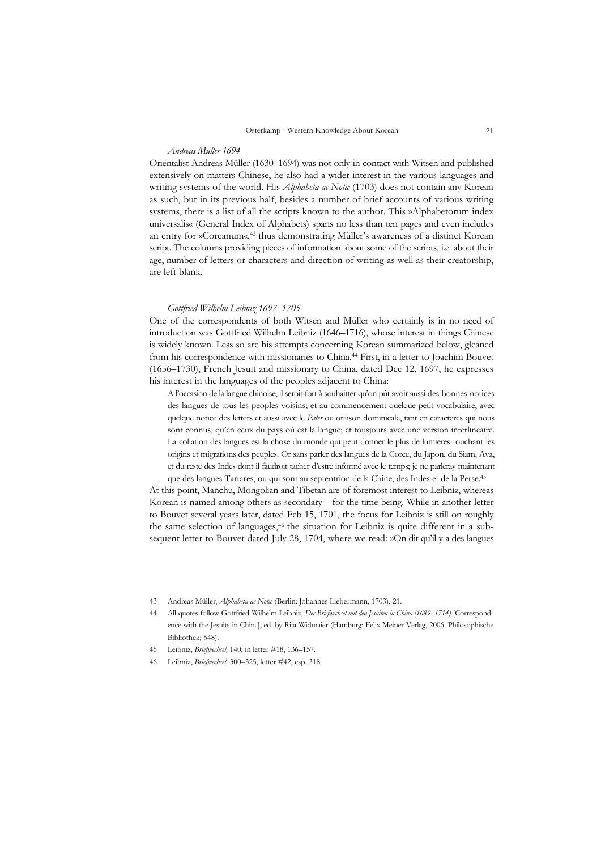#### *Andreas Müller 1694*

Orientalist Andreas Müller (1630–1694) was not only in contact with Witsen and published extensively on matters Chinese, he also had a wider interest in the various languages and writing systems of the world. His *Alphabeta ac Notæ* (1703) does not contain any Korean as such, but in its previous half, besides a number of brief accounts of various writing systems, there is a list of all the scripts known to the author. This »Alphabetorum index universalis« (General Index of Alphabets) spans no less than ten pages and even includes an entry for »Coreanum«,<sup>43</sup> thus demonstrating Müller's awareness of a distinct Korean script. The columns providing pieces of information about some of the scripts, i.e. about their age, number of letters or characters and direction of writing as well as their creatorship, are left blank.

#### *Gottfried Wilhelm Leibniz 1697–1705*

One of the correspondents of both Witsen and Müller who certainly is in no need of introduction was Gottfried Wilhelm Leibniz (1646–1716), whose interest in things Chinese is widely known. Less so are his attempts concerning Korean summarized below, gleaned from his correspondence with missionaries to China.44 First, in a letter to Joachim Bouvet (1656–1730), French Jesuit and missionary to China, dated Dec 12, 1697, he expresses his interest in the languages of the peoples adjacent to China:

A l'occasion de la langue chinoise, il seroit fort à souhaitter qu'on pût avoir aussi des bonnes notices des langues de tous les peoples voisins; et au commencement quelque petit vocabulaire, avec quelque notice des letters et aussi avec le *Pater* ou oraison dominicale, tant en caracteres qui nous sont connus, qu'en ceux du pays où est la langue; et tousjours avec une version interlineaire. La collation des langues est la chose du monde qui peut donner le plus de lumieres touchant les origins et migrations des peuples. Or sans parler des langues de la Coree, du Japon, du Siam, Ava, et du reste des Indes dont il faudroit tacher d'estre informé avec le temps; je ne parleray maintenant

que des langues Tartares, ou qui sont au septentrion de la Chine, des Indes et de la Perse.45 At this point, Manchu, Mongolian and Tibetan are of foremost interest to Leibniz, whereas Korean is named among others as secondary—for the time being. While in another letter to Bouvet several years later, dated Feb 15, 1701, the focus for Leibniz is still on roughly the same selection of languages,<sup>46</sup> the situation for Leibniz is quite different in a subsequent letter to Bouvet dated July 28, 1704, where we read: »On dit qu'il y a des langues

<sup>43</sup> Andreas Müller, *Alphabeta ac Notæ* (Berlin: Johannes Liebermann, 1703), 21.

<sup>44</sup> All quotes follow Gottfried Wilhelm Leibniz, *Der Briefwechsel mit den Jesuiten in China (1689–1714)* [Correspondence with the Jesuits in China], ed. by Rita Widmaier (Hamburg: Felix Meiner Verlag, 2006. Philosophische Bibliothek; 548).

<sup>45</sup> Leibniz, *Briefwechsel,* 140; in letter #18, 136–157.

<sup>46</sup> Leibniz, *Briefwechsel,* 300–325, letter #42, esp. 318.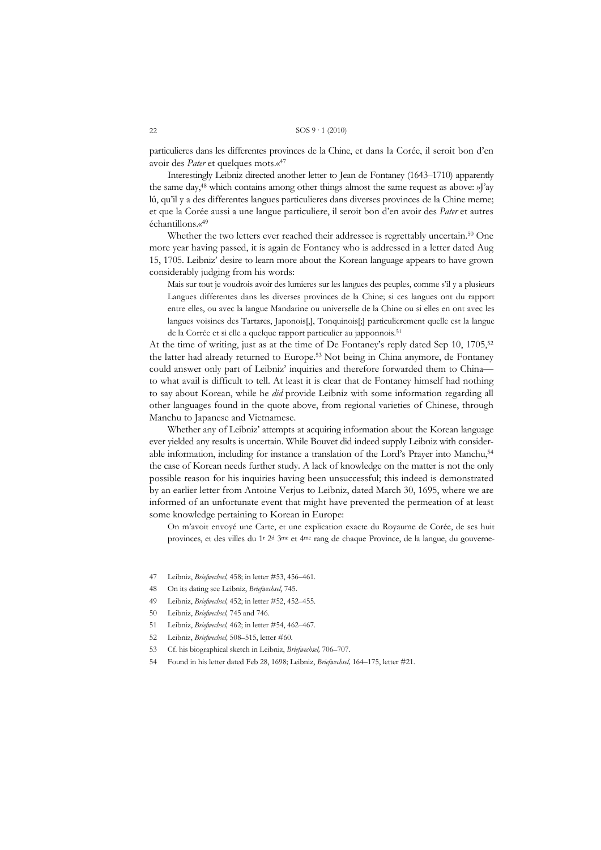particulieres dans les differentes provinces de la Chine, et dans la Corée, il seroit bon d'en avoir des *Pater* et quelques mots.«47

 Interestingly Leibniz directed another letter to Jean de Fontaney (1643–1710) apparently the same day,48 which contains among other things almost the same request as above: »J'ay lû, qu'il y a des differentes langues particulieres dans diverses provinces de la Chine meme; et que la Corée aussi a une langue particuliere, il seroit bon d'en avoir des *Pater* et autres échantillons.«49

Whether the two letters ever reached their addressee is regrettably uncertain.<sup>50</sup> One more year having passed, it is again de Fontaney who is addressed in a letter dated Aug 15, 1705. Leibniz' desire to learn more about the Korean language appears to have grown considerably judging from his words:

Mais sur tout je voudrois avoir des lumieres sur les langues des peuples, comme s'il y a plusieurs Langues differentes dans les diverses provinces de la Chine; si ces langues ont du rapport entre elles, ou avec la langue Mandarine ou universelle de la Chine ou si elles en ont avec les langues voisines des Tartares, Japonois[,], Tonquinois[;] particulierement quelle est la langue de la Corrée et si elle a quelque rapport particulier au japponnois.51

At the time of writing, just as at the time of De Fontaney's reply dated Sep 10,  $1705$ <sup>52</sup> the latter had already returned to Europe.53 Not being in China anymore, de Fontaney could answer only part of Leibniz' inquiries and therefore forwarded them to China to what avail is difficult to tell. At least it is clear that de Fontaney himself had nothing to say about Korean, while he *did* provide Leibniz with some information regarding all other languages found in the quote above, from regional varieties of Chinese, through Manchu to Japanese and Vietnamese.

 Whether any of Leibniz' attempts at acquiring information about the Korean language ever yielded any results is uncertain. While Bouvet did indeed supply Leibniz with considerable information, including for instance a translation of the Lord's Prayer into Manchu,<sup>54</sup> the case of Korean needs further study. A lack of knowledge on the matter is not the only possible reason for his inquiries having been unsuccessful; this indeed is demonstrated by an earlier letter from Antoine Verjus to Leibniz, dated March 30, 1695, where we are informed of an unfortunate event that might have prevented the permeation of at least some knowledge pertaining to Korean in Europe:

On m'avoit envoyé une Carte, et une explication exacte du Royaume de Corée, de ses huit provinces, et des villes du 1r 2d 3me et 4me rang de chaque Province, de la langue, du gouverne-

- 47 Leibniz, *Briefwechsel,* 458; in letter #53, 456–461.
- 48 On its dating see Leibniz, *Briefwechsel*, 745.
- 49 Leibniz, *Briefwechsel,* 452; in letter #52, 452–455.
- 50 Leibniz, *Briefwechsel,* 745 and 746.
- 51 Leibniz, *Briefwechsel,* 462; in letter #54, 462–467.
- 52 Leibniz, *Briefwechsel,* 508–515, letter #60.
- 53 Cf. his biographical sketch in Leibniz, *Briefwechsel,* 706–707.
- 54 Found in his letter dated Feb 28, 1698; Leibniz, *Briefwechsel,* 164–175, letter #21.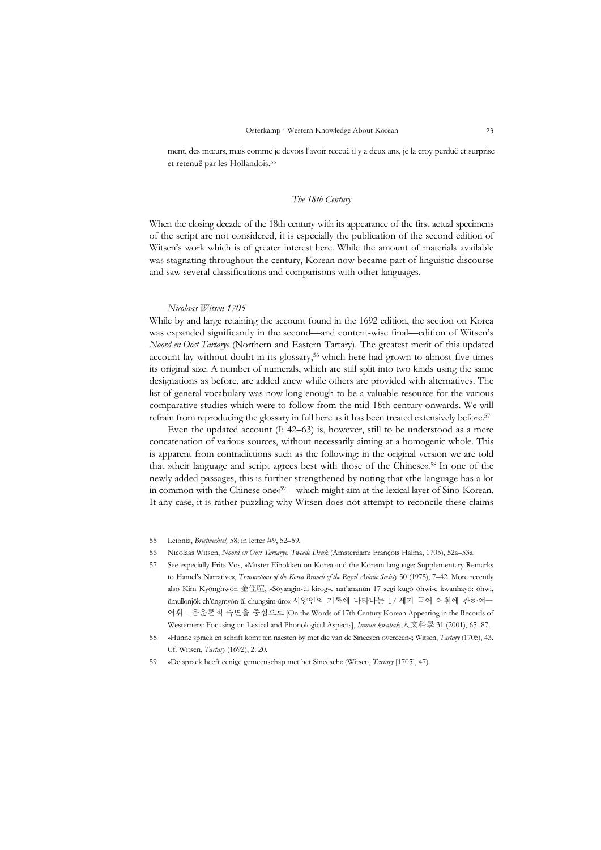ment, des mœurs, mais comme je devois l'avoir receuë il y a deux ans, je la croy perduë et surprise et retenuë par les Hollandois.55

#### *The 18th Century*

When the closing decade of the 18th century with its appearance of the first actual specimens of the script are not considered, it is especially the publication of the second edition of Witsen's work which is of greater interest here. While the amount of materials available was stagnating throughout the century, Korean now became part of linguistic discourse and saw several classifications and comparisons with other languages.

#### *Nicolaas Witsen 1705*

While by and large retaining the account found in the 1692 edition, the section on Korea was expanded significantly in the second—and content-wise final—edition of Witsen's *Noord en Oost Tartarye* (Northern and Eastern Tartary). The greatest merit of this updated account lay without doubt in its glossary,56 which here had grown to almost five times its original size. A number of numerals, which are still split into two kinds using the same designations as before, are added anew while others are provided with alternatives. The list of general vocabulary was now long enough to be a valuable resource for the various comparative studies which were to follow from the mid-18th century onwards. We will refrain from reproducing the glossary in full here as it has been treated extensively before.57

 Even the updated account (I: 42–63) is, however, still to be understood as a mere concatenation of various sources, without necessarily aiming at a homogenic whole. This is apparent from contradictions such as the following: in the original version we are told that »their language and script agrees best with those of the Chinese«.58 In one of the newly added passages, this is further strengthened by noting that »the language has a lot in common with the Chinese one«59—which might aim at the lexical layer of Sino-Korean. It any case, it is rather puzzling why Witsen does not attempt to reconcile these claims

- 55 Leibniz, *Briefwechsel,* 58; in letter #9, 52–59.
- 56 Nicolaas Witsen, *Noord en Oost Tartarye. Tweede Druk* (Amsterdam: François Halma, 1705), 52a–53a.
- 57 See especially Frits Vos, »Master Eibokken on Korea and the Korean language: Supplementary Remarks to Hamel's Narrative«, *Transactions of the Korea Branch of the Royal Asiatic Society* 50 (1975), 7–42. More recently also Kim Kyŏnghwŏn 金俓暄, »Sŏyangin-ŭi kirog-e nat'ananŭn 17 segi kugŏ ŏhwi-e kwanhayŏ: ŏhwi, ŭmullonjŏk ch'ŭngmyŏn-ŭl chungsim-ŭro« 서양인의 기록에 나타나는 17 세기 국어 어휘에 관하여— 어휘・음운론적 측면을 중심으로 [On the Words of 17th Century Korean Appearing in the Records of Westerners: Focusing on Lexical and Phonological Aspects], *Inmun kwahak* 人文科學 31 (2001), 65–87.
- 58 »Hunne spraek en schrift komt ten naesten by met die van de Sineezen overeeen«; Witsen, *Tartary* (1705), 43. Cf. Witsen, *Tartary* (1692), 2: 20.
- 59 »De spraek heeft eenige gemeenschap met het Sineesch« (Witsen, *Tartary* [1705], 47).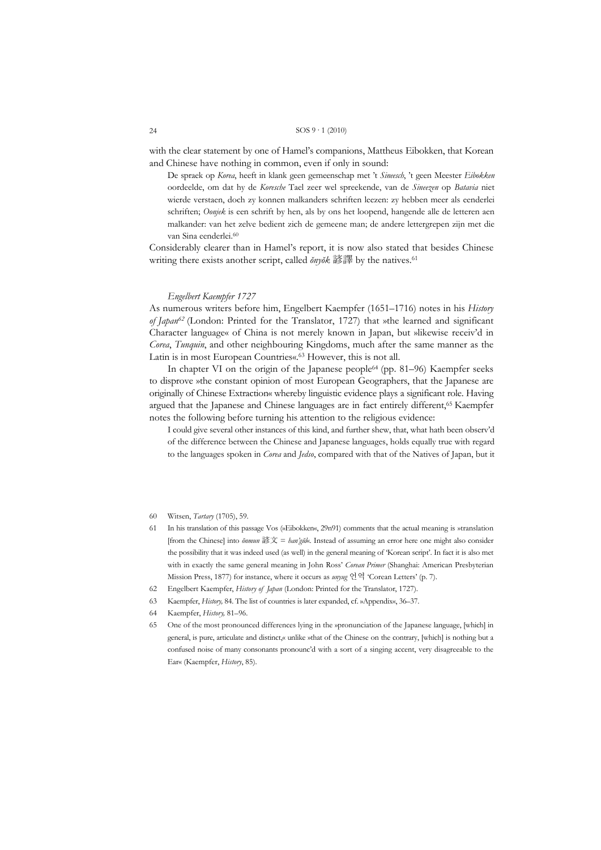with the clear statement by one of Hamel's companions, Mattheus Eibokken, that Korean and Chinese have nothing in common, even if only in sound:

De spraek op *Korea*, heeft in klank geen gemeenschap met 't *Sineesch*, 't geen Meester *Eibokken* oordeelde, om dat hy de *Koresche* Tael zeer wel spreekende, van de *Sineezen* op *Batavia* niet wierde verstaen, doch zy konnen malkanders schriften leezen: zy hebben meer als eenderlei schriften; *Oonjek* is een schrift by hen, als by ons het loopend, hangende alle de letteren aen malkander: van het zelve bedient zich de gemeene man; de andere lettergrepen zijn met die van Sina eenderlei.<sup>60</sup>

Considerably clearer than in Hamel's report, it is now also stated that besides Chinese writing there exists another script, called *ŏnyŏk* 諺譯 by the natives.61

## *Engelbert Kaempfer 1727*

As numerous writers before him, Engelbert Kaempfer (1651–1716) notes in his *History of Japan62* (London: Printed for the Translator, 1727) that »the learned and significant Character language« of China is not merely known in Japan, but »likewise receiv'd in *Corea*, *Tunquin*, and other neighbouring Kingdoms, much after the same manner as the Latin is in most European Countries«.63 However, this is not all.

 In chapter VI on the origin of the Japanese people64 (pp. 81–96) Kaempfer seeks to disprove »the constant opinion of most European Geographers, that the Japanese are originally of Chinese Extraction« whereby linguistic evidence plays a significant role. Having argued that the Japanese and Chinese languages are in fact entirely different,<sup>65</sup> Kaempfer notes the following before turning his attention to the religious evidence:

I could give several other instances of this kind, and further shew, that, what hath been observ'd of the difference between the Chinese and Japanese languages, holds equally true with regard to the languages spoken in *Corea* and *Jedso*, compared with that of the Natives of Japan, but it

- 60 Witsen, *Tartary* (1705), 59.
- 61 In his translation of this passage Vos (»Eibokken«, 29n91) comments that the actual meaning is »translation [from the Chinese] into *ŏnmun* 諺文 = *han'gŭl*«. Instead of assuming an error here one might also consider the possibility that it was indeed used (as well) in the general meaning of 'Korean script'. In fact it is also met with in exactly the same general meaning in John Ross' *Corean Primer* (Shanghai: American Presbyterian Mission Press, 1877) for instance, where it occurs as *unyug* 언역 'Corean Letters' (p. 7).
- 62 Engelbert Kaempfer, *History of Japan* (London: Printed for the Translator, 1727).
- 63 Kaempfer, *History,* 84. The list of countries is later expanded, cf. »Appendix«, 36–37.
- 64 Kaempfer, *History,* 81–96.
- 65 One of the most pronounced differences lying in the »pronunciation of the Japanese language, [which] in general, is pure, articulate and distinct,« unlike »that of the Chinese on the contrary, [which] is nothing but a confused noise of many consonants pronounc'd with a sort of a singing accent, very disagreeable to the Ear« (Kaempfer, *History*, 85).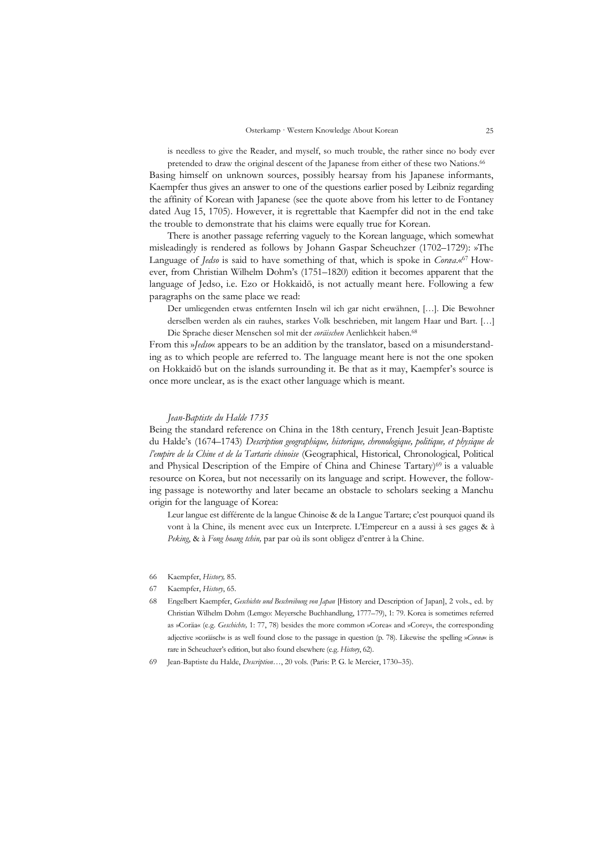is needless to give the Reader, and myself, so much trouble, the rather since no body ever

pretended to draw the original descent of the Japanese from either of these two Nations.<sup>66</sup> Basing himself on unknown sources, possibly hearsay from his Japanese informants, Kaempfer thus gives an answer to one of the questions earlier posed by Leibniz regarding the affinity of Korean with Japanese (see the quote above from his letter to de Fontaney dated Aug 15, 1705). However, it is regrettable that Kaempfer did not in the end take the trouble to demonstrate that his claims were equally true for Korean.

 There is another passage referring vaguely to the Korean language, which somewhat misleadingly is rendered as follows by Johann Gaspar Scheuchzer (1702–1729): »The Language of *Jedso* is said to have something of that, which is spoke in *Coræa*.«67 However, from Christian Wilhelm Dohm's (1751–1820) edition it becomes apparent that the language of Jedso, i.e. Ezo or Hokkaidō, is not actually meant here. Following a few paragraphs on the same place we read:

Der umliegenden etwas entfernten Inseln wil ich gar nicht erwähnen, […]. Die Bewohner derselben werden als ein rauhes, starkes Volk beschrieben, mit langem Haar und Bart. […] Die Sprache dieser Menschen sol mit der *coräischen* Aenlichkeit haben.68

From this »*Jedso*« appears to be an addition by the translator, based on a misunderstanding as to which people are referred to. The language meant here is not the one spoken on Hokkaidō but on the islands surrounding it. Be that as it may, Kaempfer's source is once more unclear, as is the exact other language which is meant.

#### *Jean-Baptiste du Halde 1735*

Being the standard reference on China in the 18th century, French Jesuit Jean-Baptiste du Halde's (1674–1743) *Description geographique, historique, chronologique, politique, et physique de l'empire de la Chine et de la Tartarie chinoise* (Geographical, Historical, Chronological, Political and Physical Description of the Empire of China and Chinese Tartary)69 is a valuable resource on Korea, but not necessarily on its language and script. However, the following passage is noteworthy and later became an obstacle to scholars seeking a Manchu origin for the language of Korea:

Leur langue est différente de la langue Chinoise & de la Langue Tartare; c'est pourquoi quand ils vont à la Chine, ils menent avec eux un Interprete. L'Empereur en a aussi à ses gages & à *Peking*, & à *Fong hoang tchin,* par par où ils sont obligez d'entrer à la Chine.

- 66 Kaempfer, *History,* 85.
- 67 Kaempfer, *History*, 65.
- 68 Engelbert Kaempfer, *Geschichte und Beschreibung von Japan* [History and Description of Japan], 2 vols., ed. by Christian Wilhelm Dohm (Lemgo: Meyersche Buchhandlung, 1777–79), 1: 79. Korea is sometimes referred as »Coräa« (e.g. *Geschichte,* 1: 77, 78) besides the more common »Corea« and »Corey«, the corresponding adjective »coräisch« is as well found close to the passage in question (p. 78). Likewise the spelling »*Coræa*« is rare in Scheuchzer's edition, but also found elsewhere (e.g. *History*, 62).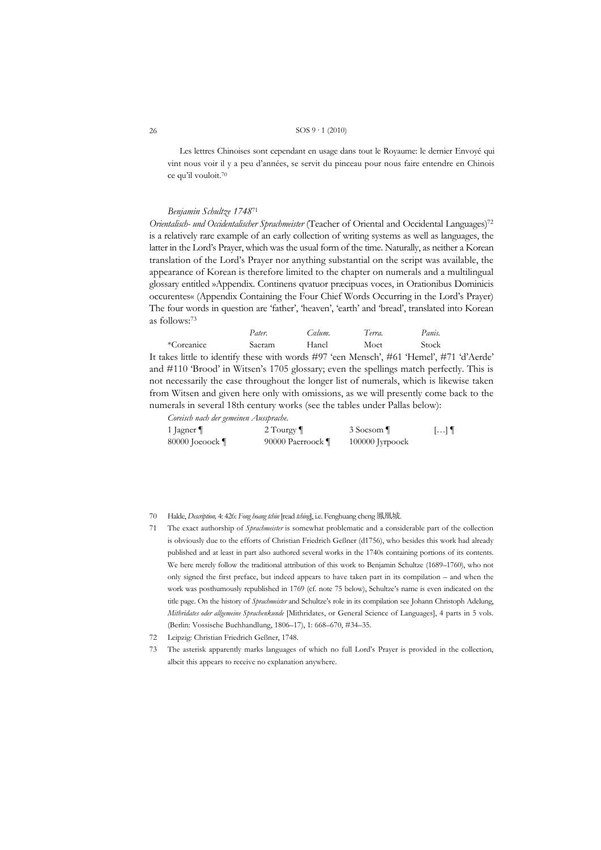Les lettres Chinoises sont cependant en usage dans tout le Royaume: le dernier Envoyé qui vint nous voir il y a peu d'années, se servit du pinceau pour nous faire entendre en Chinois ce qu'il vouloit.70

## Benjamin Schultze 174871

Orientalisch- und Occidentalischer Sprachmeister (Teacher of Oriental and Occidental Languages)<sup>72</sup> is a relatively rare example of an early collection of writing systems as well as languages, the latter in the Lord's Prayer, which was the usual form of the time. Naturally, as neither a Korean translation of the Lord's Prayer nor anything substantial on the script was available, the appearance of Korean is therefore limited to the chapter on numerals and a multilingual glossary entitled »Appendix. Continens qvatuor praecipuas voces, in Orationibus Dominicis occurentes« (Appendix Containing the Four Chief Words Occurring in the Lord's Prayer) The four words in question are 'father', 'heaven', 'earth' and 'bread', translated into Korean as follows:<sup>73</sup>

\*Coreanice Moet Saeram Hanel Stock It takes little to identify these with words #97 'een Mensch', #61 'Hemel', #71 'd'Aerde' and #110 'Brood' in Witsen's 1705 glossary; even the spellings match perfectly. This is not necessarily the case throughout the longer list of numerals, which is likewise taken from Witsen and given here only with omissions, as we will presently come back to the numerals in several 18th century works (see the tables under Pallas below):

Calum.

Terra.

Panis.

Coreisch nach der gemeinen Aussprache.

Pater.

| 1 Jagner           | 2 Tourgy $\P$     | 3 Socsom          | $\left[\ldots\right]$ 1 |
|--------------------|-------------------|-------------------|-------------------------|
| 80000 Joeoock $\P$ | 90000 Paerroock ¶ | $100000$ Jyrpoock |                         |

70 Halde, *Description*, 4: 426: Fong hoang tchin [read tching], i.e. Fenghuang cheng 鳳凰城.

- 71 The exact authorship of Sprachmeister is somewhat problematic and a considerable part of the collection is obviously due to the efforts of Christian Friedrich Geßner (d1756), who besides this work had already published and at least in part also authored several works in the 1740s containing portions of its contents. We here merely follow the traditional attribution of this work to Benjamin Schultze (1689-1760), who not only signed the first preface, but indeed appears to have taken part in its compilation – and when the work was posthumously republished in 1769 (cf. note 75 below), Schultze's name is even indicated on the title page. On the history of *Sprachmeister* and Schultze's role in its compilation see Johann Christoph Adelung, Mithridates oder allgemeine Sprachenkunde [Mithridates, or General Science of Languages], 4 parts in 5 vols. (Berlin: Vossische Buchhandlung, 1806-17), 1: 668-670, #34-35.
- 72 Leipzig: Christian Friedrich Geßner, 1748.
- 73 The asterisk apparently marks languages of which no full Lord's Prayer is provided in the collection, albeit this appears to receive no explanation anywhere.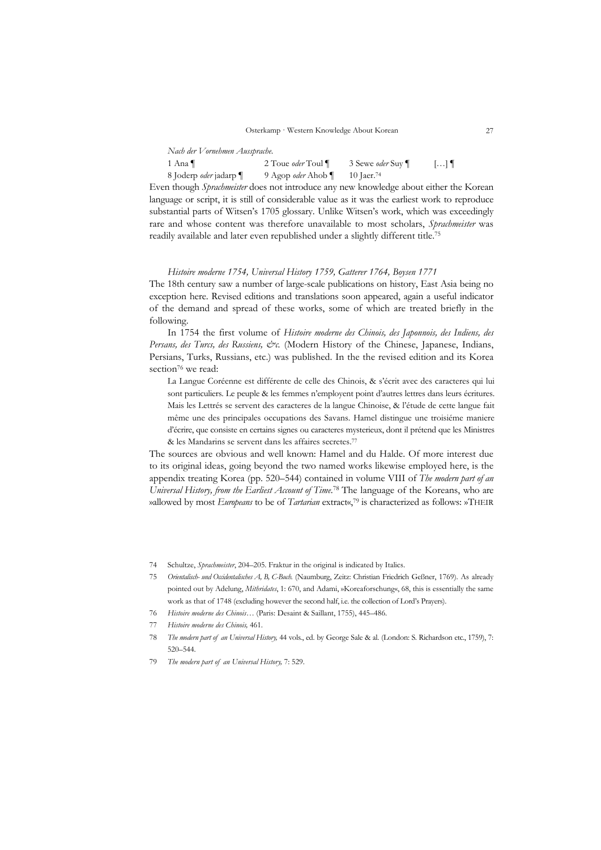*Nach der Vornehmen Aussprache.* 

1 Ana ¶ 2 Toue *oder* Toul ¶ 3 Sewe *oder* Suy ¶ […] ¶ 8 Joderp *oder* jadarp ¶ 9 Agop *oder* Ahob ¶ 10 Jaer.74

Even though *Sprachmeister* does not introduce any new knowledge about either the Korean language or script, it is still of considerable value as it was the earliest work to reproduce substantial parts of Witsen's 1705 glossary. Unlike Witsen's work, which was exceedingly rare and whose content was therefore unavailable to most scholars, *Sprachmeister* was readily available and later even republished under a slightly different title.75

#### *Histoire moderne 1754, Universal History 1759, Gatterer 1764, Boysen 1771*

The 18th century saw a number of large-scale publications on history, East Asia being no exception here. Revised editions and translations soon appeared, again a useful indicator of the demand and spread of these works, some of which are treated briefly in the following.

 In 1754 the first volume of *Histoire moderne des Chinois, des Japonnois, des Indiens, des Persans, des Turcs, des Russiens, &c.* (Modern History of the Chinese, Japanese, Indians, Persians, Turks, Russians, etc.) was published. In the the revised edition and its Korea section<sup>76</sup> we read:

La Langue Coréenne est différente de celle des Chinois, & s'écrit avec des caracteres qui lui sont particuliers. Le peuple & les femmes n'employent point d'autres lettres dans leurs écritures. Mais les Lettrés se servent des caracteres de la langue Chinoise, & l'étude de cette langue fait même une des principales occupations des Savans. Hamel distingue une troisiéme maniere d'écrire, que consiste en certains signes ou caracteres mysterieux, dont il prétend que les Ministres & les Mandarins se servent dans les affaires secretes.77

The sources are obvious and well known: Hamel and du Halde. Of more interest due to its original ideas, going beyond the two named works likewise employed here, is the appendix treating Korea (pp. 520–544) contained in volume VIII of *The modern part of an Universal History, from the Earliest Account of Time*. 78 The language of the Koreans, who are »allowed by most *Europeans* to be of *Tartarian* extract«,79 is characterized as follows: »THEIR

<sup>74</sup> Schultze, *Sprachmeister*, 204–205. Fraktur in the original is indicated by Italics.

<sup>75</sup> *Orientalisch- und Occidentalisches A, B, C-Buch.* (Naumburg, Zeitz: Christian Friedrich Geßner, 1769). As already pointed out by Adelung, *Mithridates*, 1: 670, and Adami, »Koreaforschung«, 68, this is essentially the same work as that of 1748 (excluding however the second half, i.e. the collection of Lord's Prayers).

<sup>76</sup> *Histoire moderne des Chinois…* (Paris: Desaint & Saillant, 1755), 445–486.

<sup>77</sup> *Histoire moderne des Chinois,* 461.

<sup>78</sup> *The modern part of an Universal History,* 44 vols., ed. by George Sale & al. (London: S. Richardson etc., 1759), 7: 520–544.

<sup>79</sup> *The modern part of an Universal History,* 7: 529.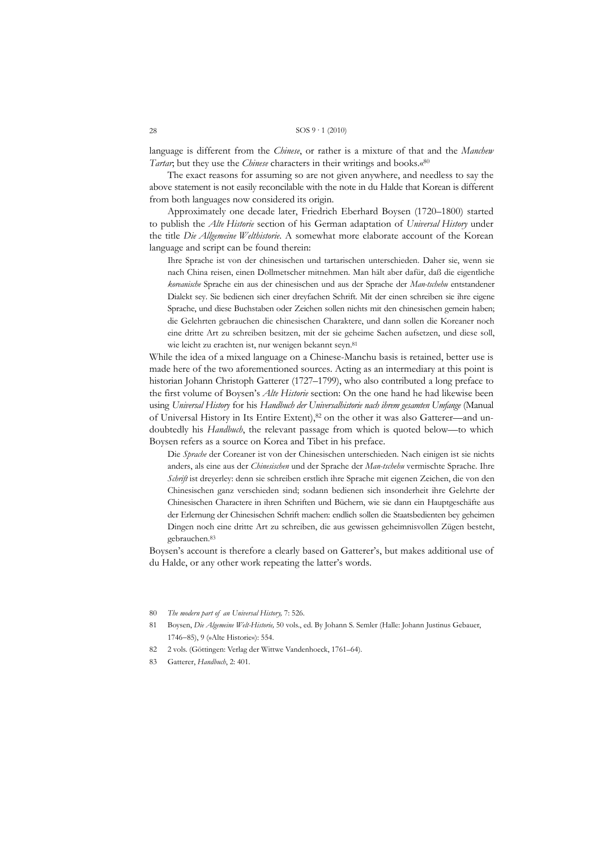language is different from the *Chinese*, or rather is a mixture of that and the *Manchew Tartar*; but they use the *Chinese* characters in their writings and books.«80

 The exact reasons for assuming so are not given anywhere, and needless to say the above statement is not easily reconcilable with the note in du Halde that Korean is different from both languages now considered its origin.

 Approximately one decade later, Friedrich Eberhard Boysen (1720–1800) started to publish the *Alte Historie* section of his German adaptation of *Universal History* under the title *Die Allgemeine Welthistorie*. A somewhat more elaborate account of the Korean language and script can be found therein:

Ihre Sprache ist von der chinesischen und tartarischen unterschieden. Daher sie, wenn sie nach China reisen, einen Dollmetscher mitnehmen. Man hält aber dafür, daß die eigentliche *koreanische* Sprache ein aus der chinesischen und aus der Sprache der *Man-tschehu* entstandener Dialekt sey. Sie bedienen sich einer dreyfachen Schrift. Mit der einen schreiben sie ihre eigene Sprache, und diese Buchstaben oder Zeichen sollen nichts mit den chinesischen gemein haben; die Gelehrten gebrauchen die chinesischen Charaktere, und dann sollen die Koreaner noch eine dritte Art zu schreiben besitzen, mit der sie geheime Sachen aufsetzen, und diese soll, wie leicht zu erachten ist, nur wenigen bekannt seyn.81

While the idea of a mixed language on a Chinese-Manchu basis is retained, better use is made here of the two aforementioned sources. Acting as an intermediary at this point is historian Johann Christoph Gatterer (1727–1799), who also contributed a long preface to the first volume of Boysen's *Alte Historie* section: On the one hand he had likewise been using *Universal History* for his *Handbuch der Universalhistorie nach ihrem gesamten Umfange* (Manual of Universal History in Its Entire Extent),82 on the other it was also Gatterer—and undoubtedly his *Handbuch*, the relevant passage from which is quoted below—to which Boysen refers as a source on Korea and Tibet in his preface.

Die *Sprache* der Coreaner ist von der Chinesischen unterschieden. Nach einigen ist sie nichts anders, als eine aus der *Chinesischen* und der Sprache der *Man-tschehu* vermischte Sprache. Ihre *Schrift* ist dreyerley: denn sie schreiben erstlich ihre Sprache mit eigenen Zeichen, die von den Chinesischen ganz verschieden sind; sodann bedienen sich insonderheit ihre Gelehrte der Chinesischen Charactere in ihren Schriften und Büchern, wie sie dann ein Hauptgeschäfte aus der Erlernung der Chinesischen Schrift machen: endlich sollen die Staatsbedienten bey geheimen Dingen noch eine dritte Art zu schreiben, die aus gewissen geheimnisvollen Zügen besteht, gebrauchen.83

Boysen's account is therefore a clearly based on Gatterer's, but makes additional use of du Halde, or any other work repeating the latter's words.

- 80 *The modern part of an Universal History,* 7: 526.
- 81 Boysen, *Die Algemeine Welt-Historie,* 50 vols., ed. By Johann S. Semler (Halle: Johann Justinus Gebauer, 1746−85), 9 (»Alte Historie«): 554.
- 82 2 vols. (Göttingen: Verlag der Wittwe Vandenhoeck, 1761–64).
- 83 Gatterer, *Handbuch*, 2: 401.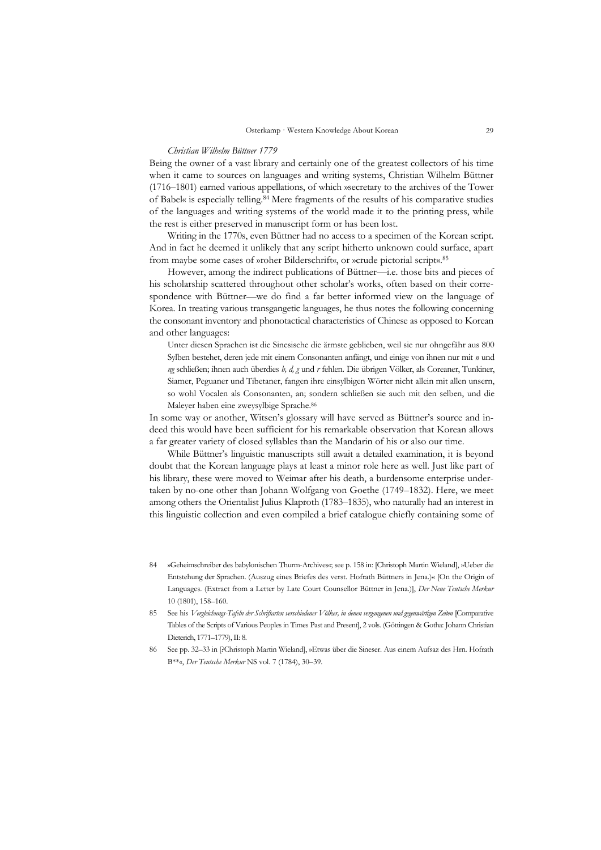#### *Christian Wilhelm Büttner 1779*

Being the owner of a vast library and certainly one of the greatest collectors of his time when it came to sources on languages and writing systems, Christian Wilhelm Büttner (1716–1801) earned various appellations, of which »secretary to the archives of the Tower of Babel« is especially telling.84 Mere fragments of the results of his comparative studies of the languages and writing systems of the world made it to the printing press, while the rest is either preserved in manuscript form or has been lost.

 Writing in the 1770s, even Büttner had no access to a specimen of the Korean script. And in fact he deemed it unlikely that any script hitherto unknown could surface, apart from maybe some cases of »roher Bilderschrift«, or »crude pictorial script«.85

 However, among the indirect publications of Büttner—i.e. those bits and pieces of his scholarship scattered throughout other scholar's works, often based on their correspondence with Büttner—we do find a far better informed view on the language of Korea. In treating various transgangetic languages, he thus notes the following concerning the consonant inventory and phonotactical characteristics of Chinese as opposed to Korean and other languages:

Unter diesen Sprachen ist die Sinesische die ärmste geblieben, weil sie nur ohngefähr aus 800 Sylben bestehet, deren jede mit einem Consonanten anfängt, und einige von ihnen nur mit *n* und *ng* schließen; ihnen auch überdies *b, d, g* und *r* fehlen. Die übrigen Völker, als Coreaner, Tunkiner, Siamer, Peguaner und Tibetaner, fangen ihre einsylbigen Wörter nicht allein mit allen unsern, so wohl Vocalen als Consonanten, an; sondern schließen sie auch mit den selben, und die Maleyer haben eine zweysylbige Sprache.86

In some way or another, Witsen's glossary will have served as Büttner's source and indeed this would have been sufficient for his remarkable observation that Korean allows a far greater variety of closed syllables than the Mandarin of his or also our time.

 While Büttner's linguistic manuscripts still await a detailed examination, it is beyond doubt that the Korean language plays at least a minor role here as well. Just like part of his library, these were moved to Weimar after his death, a burdensome enterprise undertaken by no-one other than Johann Wolfgang von Goethe (1749–1832). Here, we meet among others the Orientalist Julius Klaproth (1783–1835), who naturally had an interest in this linguistic collection and even compiled a brief catalogue chiefly containing some of

- 84 »Geheimschreiber des babylonischen Thurm-Archives«; see p. 158 in: [Christoph Martin Wieland], »Ueber die Entstehung der Sprachen. (Auszug eines Briefes des verst. Hofrath Büttners in Jena.)« [On the Origin of Languages. (Extract from a Letter by Late Court Counsellor Büttner in Jena.)], *Der Neue Teutsche Merkur* 10 (1801), 158–160.
- 85 See his *Vergleichungs-Tafeln der Schriftarten verschiedener Völker, in denen vergangenen und gegenwärtigen Zeiten* [Comparative Tables of the Scripts of Various Peoples in Times Past and Present], 2 vols. (Göttingen & Gotha: Johann Christian Dieterich, 1771–1779), II: 8.
- 86 See pp. 32–33 in [?Christoph Martin Wieland], »Etwas über die Sineser. Aus einem Aufsaz des Hrn. Hofrath B\*\*«, *Der Teutsche Merkur* NS vol. 7 (1784), 30–39.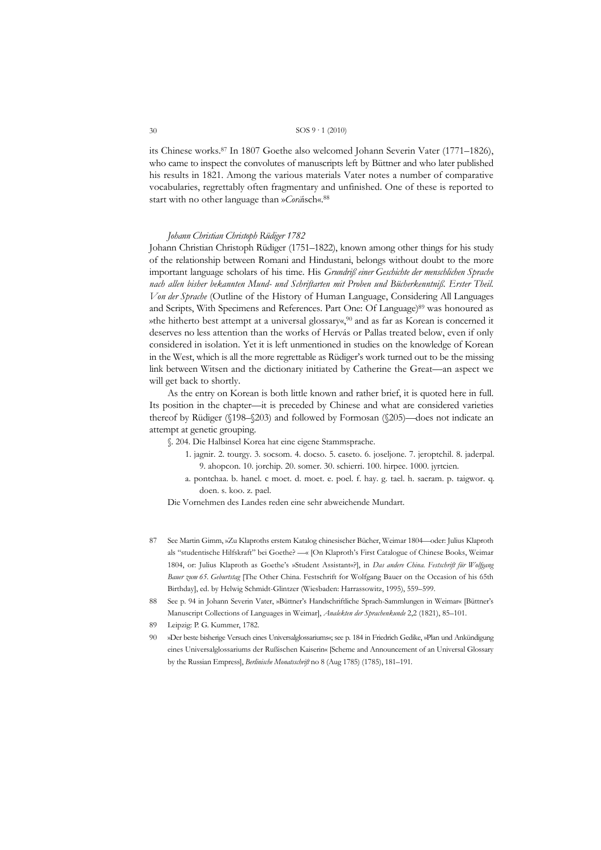its Chinese works.<sup>87</sup> In 1807 Goethe also welcomed Johann Severin Vater (1771–1826), who came to inspect the convolutes of manuscripts left by Büttner and who later published his results in 1821. Among the various materials Vater notes a number of comparative vocabularies, regrettably often fragmentary and unfinished. One of these is reported to start with no other language than »Coräsch«.88

#### Johann Christian Christoph Rüdiger 1782

Johann Christian Christoph Rüdiger (1751–1822), known among other things for his study of the relationship between Romani and Hindustani, belongs without doubt to the more important language scholars of his time. His Grundriß einer Geschichte der menschlichen Sprache nach allen bisher bekannten Mund- und Schriftarten mit Proben und Bücherkenntniß. Erster Theil. Von der Sprache (Outline of the History of Human Language, Considering All Languages and Scripts, With Specimens and References. Part One: Of Language)<sup>89</sup> was honoured as »the hitherto best attempt at a universal glossary«,<sup>90</sup> and as far as Korean is concerned it deserves no less attention than the works of Hervás or Pallas treated below, even if only considered in isolation. Yet it is left unmentioned in studies on the knowledge of Korean in the West, which is all the more regrettable as Rüdiger's work turned out to be the missing link between Witsen and the dictionary initiated by Catherine the Great—an aspect we will get back to shortly.

As the entry on Korean is both little known and rather brief, it is quoted here in full. Its position in the chapter—it is preceded by Chinese and what are considered varieties thereof by Rüdiger ( $\sqrt{198-\sqrt{203}}$ ) and followed by Formosan ( $\sqrt{205}$ )—does not indicate an attempt at genetic grouping.

§. 204. Die Halbinsel Korea hat eine eigene Stammsprache.

- 1. jagnir. 2. tourgy. 3. socsom. 4. docso. 5. caseto. 6. joseljone. 7. jeroptchil. 8. jaderpal. 9. ahopcon. 10. jorchip. 20. somer. 30. schierri. 100. hirpee. 1000. jyrtcien.
- a. pontchaa. b. hanel. c moet. d. moet. e. poel. f. hay. g. tael. h. saeram. p. taigwor. q. doen. s. koo. z. pael.

Die Vornehmen des Landes reden eine sehr abweichende Mundart.

- See Martin Gimm, »Zu Klaproths erstem Katalog chinesischer Bücher, Weimar 1804 oder: Julius Klaproth 87 als "studentische Hilfskraft" bei Goethe? - « [On Klaproth's First Catalogue of Chinese Books, Weimar 1804, or: Julius Klaproth as Goethe's »Student Assistant«?], in Das andere China. Festschrift für Wolfgang Bauer zum 65. Geburtstag [The Other China. Festschrift for Wolfgang Bauer on the Occasion of his 65th Birthday], ed. by Helwig Schmidt-Glintzer (Wiesbaden: Harrassowitz, 1995), 559-599.
- 88 See p. 94 in Johann Severin Vater, »Büttner's Handschriftliche Sprach-Sammlungen in Weimar« [Büttner's Manuscript Collections of Languages in Weimar], Analekten der Sprachenkunde 2,2 (1821), 85-101.
- Leipzig: P. G. Kummer, 1782. 89
- 90 »Der beste bisherige Versuch eines Universalglossariums«; see p. 184 in Friedrich Gedike, »Plan und Ankündigung eines Universalglossariums der Rußischen Kaiserin« [Scheme and Announcement of an Universal Glossary by the Russian Empress], Berlinische Monatsschrift no 8 (Aug 1785) (1785), 181-191.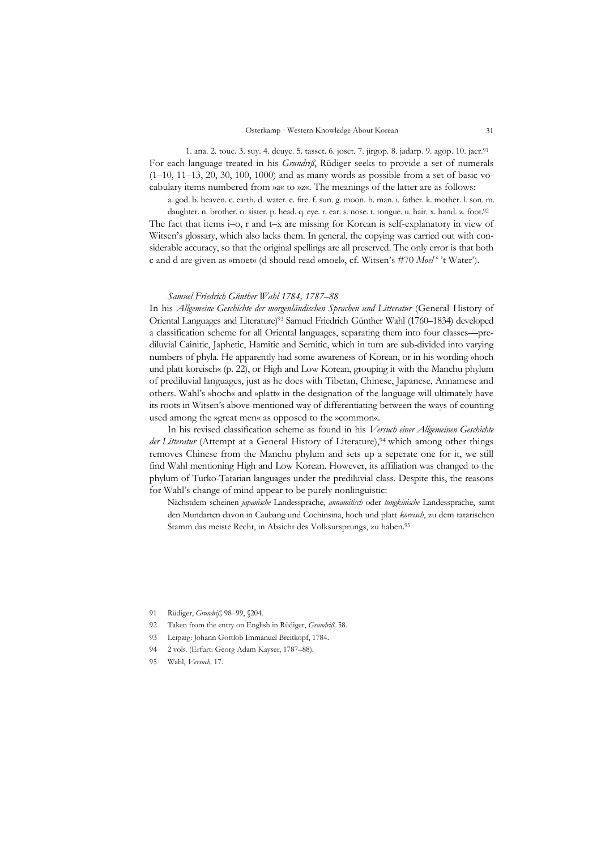1. ana. 2. toue. 3. suy. 4. deuye. 5. tasset. 6. joset. 7. jirgop. 8. jadarp. 9. agop. 10. jaer.91 For each language treated in his *Grundriß*, Rüdiger seeks to provide a set of numerals  $(1-10, 11-13, 20, 30, 100, 1000)$  and as many words as possible from a set of basic vocabulary items numbered from »a« to »z«. The meanings of the latter are as follows:

a. god. b. heaven. c. earth. d. water. e. fire. f. sun. g. moon. h. man. i. father. k. mother. l. son. m.

daughter. n. brother. o. sister. p. head. q. eye. r. ear. s. nose. t. tongue. u. hair. x. hand. z. foot.<sup>92</sup> The fact that items i–o, r and t–x are missing for Korean is self-explanatory in view of Witsen's glossary, which also lacks them. In general, the copying was carried out with considerable accuracy, so that the original spellings are all preserved. The only error is that both c and d are given as »moet« (d should read »moel«, cf. Witsen's #70 *Moel* ' 't Water').

#### *Samuel Friedrich Günther Wahl 1784, 1787–88*

In his *Allgemeine Geschichte der morgenländischen Sprachen und Litteratur* (General History of Oriental Languages and Literature)93 Samuel Friedrich Günther Wahl (1760–1834) developed a classification scheme for all Oriental languages, separating them into four classes—prediluvial Cainitic, Japhetic, Hamitic and Semitic, which in turn are sub-divided into varying numbers of phyla. He apparently had some awareness of Korean, or in his wording »hoch und platt koreisch« (p. 22), or High and Low Korean, grouping it with the Manchu phylum of prediluvial languages, just as he does with Tibetan, Chinese, Japanese, Annamese and others. Wahl's »hoch« and »platt« in the designation of the language will ultimately have its roots in Witsen's above-mentioned way of differentiating between the ways of counting used among the »great men« as opposed to the »common«.

 In his revised classification scheme as found in his *Versuch einer Allgemeinen Geschichte*  der Litteratur (Attempt at a General History of Literature),<sup>94</sup> which among other things removes Chinese from the Manchu phylum and sets up a seperate one for it, we still find Wahl mentioning High and Low Korean. However, its affiliation was changed to the phylum of Turko-Tatarian languages under the prediluvial class. Despite this, the reasons for Wahl's change of mind appear to be purely nonlinguistic:

Nächstdem scheinen *japanische* Landessprache, *annamitisch* oder *tungkinische* Landessprache, samt den Mundarten davon in Caubang und Cochinsina, hoch und platt *koreisch*, zu dem tatarischen Stamm das meiste Recht, in Absicht des Volksursprungs, zu haben.95

<sup>91</sup> Rüdiger, *Grundriß,* 98–99, §204.

<sup>92</sup> Taken from the entry on English in Rüdiger, *Grundriß,* 58.

<sup>93</sup> Leipzig: Johann Gottlob Immanuel Breitkopf, 1784.

<sup>94 2</sup> vols. (Erfurt: Georg Adam Kayser, 1787–88).

<sup>95</sup> Wahl, *Versuch,* 17.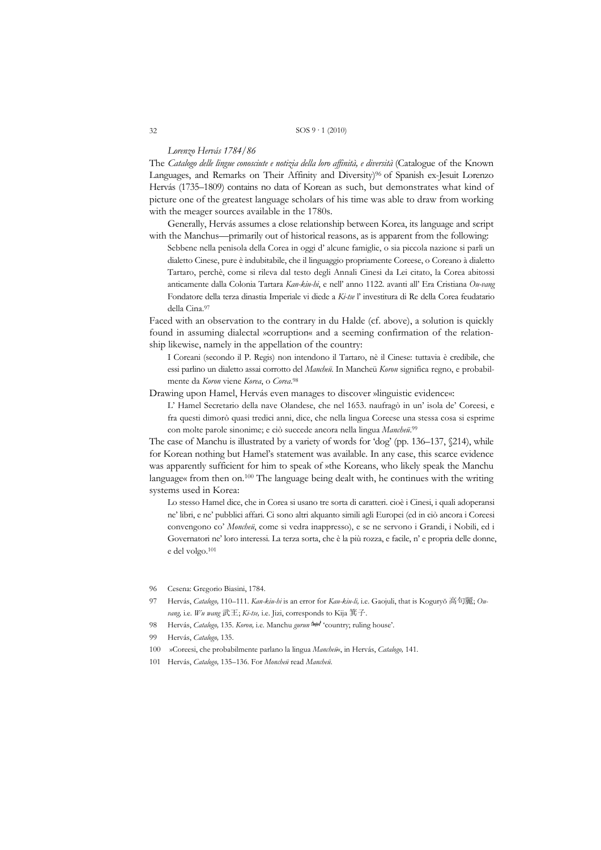#### *Lorenzo Hervás 1784/86*

The *Catalogo delle lingue conosciute e notizia della loro affinità, e diversità* (Catalogue of the Known Languages, and Remarks on Their Affinity and Diversity)96 of Spanish ex-Jesuit Lorenzo Hervás (1735–1809) contains no data of Korean as such, but demonstrates what kind of picture one of the greatest language scholars of his time was able to draw from working with the meager sources available in the 1780s.

 Generally, Hervás assumes a close relationship between Korea, its language and script with the Manchus—primarily out of historical reasons, as is apparent from the following:

Sebbene nella penisola della Corea in oggi d' alcune famiglie, o sia piccola nazione si parli un dialetto Cinese, pure è indubitabile, che il linguaggio propriamente Coreese, o Coreano à dialetto Tartaro, perchè, come si rileva dal testo degli Annali Cinesi da Lei citato, la Corea abitossi anticamente dalla Colonia Tartara *Kan-kiu-hi*, e nell' anno 1122. avanti all' Era Cristiana *Ou-vang* Fondatore della terza dinastia Imperiale vi diede a *Ki-tse* l' investitura di Re della Corea feudatario della Cina.97

Faced with an observation to the contrary in du Halde (cf. above), a solution is quickly found in assuming dialectal »corruption« and a seeming confirmation of the relationship likewise, namely in the appellation of the country:

I Coreani (secondo il P. Regis) non intendono il Tartaro, nè il Cinese: tuttavia è credibile, che essi parlino un dialetto assai corrotto del *Mancheü*. In Mancheü *Koron* significa regno, e probabilmente da *Koron* viene *Korea*, o *Corea*.98

Drawing upon Hamel, Hervás even manages to discover »linguistic evidence«:

L' Hamel Secretario della nave Olandese, che nel 1653. naufragò in un' isola de' Coreesi, e fra questi dimorò quasi tredici anni, dice, che nella lingua Coreese una stessa cosa si esprime con molte parole sinonime; e ciò succede ancora nella lingua *Mancheü*.99

The case of Manchu is illustrated by a variety of words for 'dog' (pp. 136–137, §214), while for Korean nothing but Hamel's statement was available. In any case, this scarce evidence was apparently sufficient for him to speak of »the Koreans, who likely speak the Manchu language« from then on.100 The language being dealt with, he continues with the writing systems used in Korea:

Lo stesso Hamel dice, che in Corea si usano tre sorta di caratteri. cioè i Cinesi, i quali adoperansi ne' libri, e ne' pubblici affari. Ci sono altri alquanto simili agli Europei (ed in ciò ancora i Coreesi convengono co' *Moncheü*, come si vedra inappresso), e se ne servono i Grandi, i Nobili, ed i Governatori ne' loro interessi. La terza sorta, che è la più rozza, e facile, n' e propria delle donne, e del volgo.101

- 96 Cesena: Gregorio Biasini, 1784.
- 97 Hervás, *Catalogo,* 110–111. *Kan-kiu-hi* is an error for *Kau-kiu-li,* i.e. Gaojuli, that is Koguryŏ 高句麗; *Ouvang,* i.e. *Wu wang* 武王; *Ki-tse,* i.e. Jizi, corresponds to Kija 箕子.
- 98 Hervás, *Catalogo,* 135. *Koron,* i.e. Manchu *gurun* ᡤᡠᡵᡠᠨ 'country; ruling house'.
- 99 Hervás, *Catalogo,* 135.
- 100 »Coreesi, che probabilmente parlano la lingua *Mancheü*«, in Hervás, *Catalogo,* 141.
- 101 Hervás, *Catalogo,* 135–136. For *Moncheü* read *Mancheü*.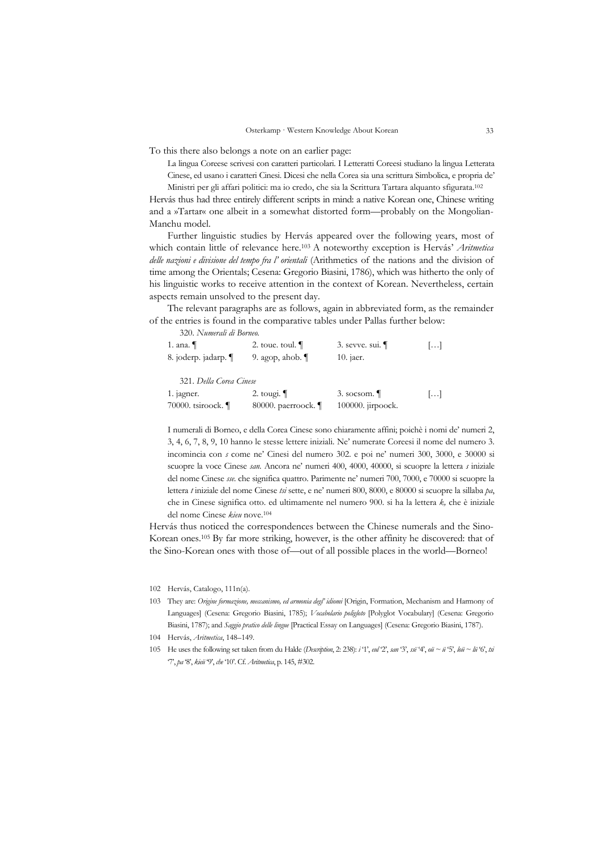To this there also belongs a note on an earlier page:

La lingua Coreese scrivesi con caratteri particolari. I Letteratti Coreesi studiano la lingua Letterata Cinese, ed usano i caratteri Cinesi. Dicesi che nella Corea sia una scrittura Simbolica, e propria de' Ministri per gli affari politici: ma io credo, che sia la Scrittura Tartara alquanto sfigurata.102

Hervás thus had three entirely different scripts in mind: a native Korean one, Chinese writing and a »Tartar« one albeit in a somewhat distorted form—probably on the Mongolian-Manchu model.

 Further linguistic studies by Hervás appeared over the following years, most of which contain little of relevance here.103 A noteworthy exception is Hervás' *Aritmetica delle nazioni e divisione del tempo fra l' orientali* (Arithmetics of the nations and the division of time among the Orientals; Cesena: Gregorio Biasini, 1786), which was hitherto the only of his linguistic works to receive attention in the context of Korean. Nevertheless, certain aspects remain unsolved to the present day.

 The relevant paragraphs are as follows, again in abbreviated form, as the remainder of the entries is found in the comparative tables under Pallas further below:

320. *Numerali di Borneo.*

| 1. ana. $\P$                          | 2. toue. toul. $\P$ | $3.$ sevve. sui. | $\left[\ldots\right]$ |
|---------------------------------------|---------------------|------------------|-----------------------|
| 8. joderp. jadarp. ¶                  | 9. agop, ahob. $\P$ | 10. jaer.        |                       |
| $224 \quad D \quad H \quad C \quad C$ |                     |                  |                       |

321. *Della Corea Cinese*

| 1. jagner.         | 2. tougi. $\P$         | $3.$ socsom.         | $[\ldots]$ |
|--------------------|------------------------|----------------------|------------|
| 70000. tsiroock. ¶ | 80000. paerroock. $\P$ | $100000$ . jirpoock. |            |

I numerali di Borneo, e della Corea Cinese sono chiaramente affini; poichè i nomi de' numeri 2, 3, 4, 6, 7, 8, 9, 10 hanno le stesse lettere iniziali. Ne' numerate Coreesi il nome del numero 3. incomincia con *s* come ne' Cinesi del numero 302. e poi ne' numeri 300, 3000, e 30000 si scuopre la voce Cinese *san*. Ancora ne' numeri 400, 4000, 40000, si scuopre la lettera *s* iniziale del nome Cinese *sse*. che significa quattro. Parimente ne' numeri 700, 7000, e 70000 si scuopre la lettera *t* iniziale del nome Cinese *tsi* sette, e ne' numeri 800, 8000, e 80000 si scuopre la sillaba *pa*, che in Cinese significa otto. ed ultimamente nel numero 900. si ha la lettera *k,* che è iniziale del nome Cinese *kieu* nove.104

Hervás thus noticed the correspondences between the Chinese numerals and the Sino-Korean ones.105 By far more striking, however, is the other affinity he discovered: that of the Sino-Korean ones with those of—out of all possible places in the world—Borneo!

102 Hervás, Catalogo, 111n(a).

103 They are: *Origine formazione, meccanismo, ed armonia degl' idiomi* [Origin, Formation, Mechanism and Harmony of Languages] (Cesena: Gregorio Biasini, 1785); *Vocabolario poligloto* [Polyglot Vocabulary] (Cesena: Gregorio Biasini, 1787); and *Saggio pratico delle lingue* [Practical Essay on Languages] (Cesena: Gregorio Biasini, 1787).

104 Hervás, *Aritmetica*, 148–149.

105 He uses the following set taken from du Halde (*Description*, 2: 238): *i* '1', *eul* '2', *san* '3', *ssë* '4', *oü ~ ü* '5', *loü ~ lü* '6', *tsi* '7', *pa* '8', *kieü* '9', *che* '10'. Cf. *Aritmetica*, p. 145, #302.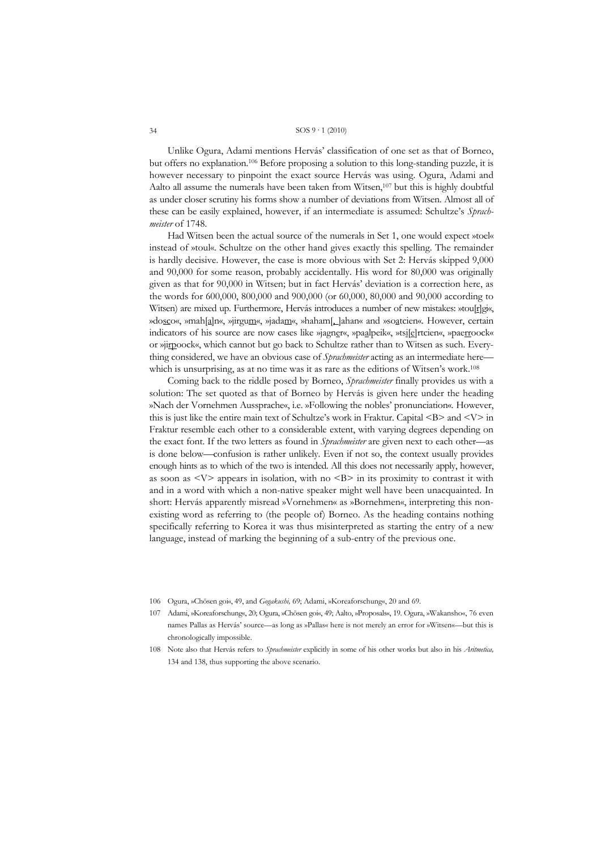Unlike Ogura, Adami mentions Hervás' classification of one set as that of Borneo, but offers no explanation.106 Before proposing a solution to this long-standing puzzle, it is however necessary to pinpoint the exact source Hervás was using. Ogura, Adami and Aalto all assume the numerals have been taken from Witsen,107 but this is highly doubtful as under closer scrutiny his forms show a number of deviations from Witsen. Almost all of these can be easily explained, however, if an intermediate is assumed: Schultze's *Sprachmeister* of 1748.

 Had Witsen been the actual source of the numerals in Set 1, one would expect »toel« instead of »toul«. Schultze on the other hand gives exactly this spelling. The remainder is hardly decisive. However, the case is more obvious with Set 2: Hervás skipped 9,000 and 90,000 for some reason, probably accidentally. His word for 80,000 was originally given as that for 90,000 in Witsen; but in fact Hervás' deviation is a correction here, as the words for 600,000, 800,000 and 900,000 (or 60,000, 80,000 and 90,000 according to Witsen) are mixed up. Furthermore, Hervás introduces a number of new mistakes: »tou[r]gi«, »dosco«, »mah[a]n«, »jirgum«, »jadam«, »haham[, ]ahan« and »soatcien«. However, certain indicators of his source are now cases like »jagner«, »paalpeik«, »tsifelrtcien«, »paerroock« or »jirpoock«, which cannot but go back to Schultze rather than to Witsen as such. Everything considered, we have an obvious case of *Sprachmeister* acting as an intermediate here which is unsurprising, as at no time was it as rare as the editions of Witsen's work.<sup>108</sup>

 Coming back to the riddle posed by Borneo, *Sprachmeister* finally provides us with a solution: The set quoted as that of Borneo by Hervás is given here under the heading »Nach der Vornehmen Aussprache«, i.e. »Following the nobles' pronunciation«. However, this is just like the entire main text of Schultze's work in Fraktur. Capital  $\langle B \rangle$  and  $\langle V \rangle$  in Fraktur resemble each other to a considerable extent, with varying degrees depending on the exact font. If the two letters as found in *Sprachmeister* are given next to each other—as is done below—confusion is rather unlikely. Even if not so, the context usually provides enough hints as to which of the two is intended. All this does not necessarily apply, however, as soon as  $\langle \nabla \rangle$  appears in isolation, with no  $\langle \nabla B \rangle$  in its proximity to contrast it with and in a word with which a non-native speaker might well have been unacquainted. In short: Hervás apparently misread »Vornehmen« as »Bornehmen«, interpreting this nonexisting word as referring to (the people of) Borneo. As the heading contains nothing specifically referring to Korea it was thus misinterpreted as starting the entry of a new language, instead of marking the beginning of a sub-entry of the previous one.

- 106 Ogura, »Chōsen goi«, 49, and *Gogakushi,* 69; Adami, »Koreaforschung«, 20 and 69.
- 107 Adami, »Koreaforschung«, 20; Ogura, »Chōsen goi«, 49; Aalto, »Proposals«, 19. Ogura, »Wakansho«, 76 even names Pallas as Hervás' source—as long as »Pallas« here is not merely an error for »Witsen«—but this is chronologically impossible.
- 108 Note also that Hervás refers to *Sprachmeister* explicitly in some of his other works but also in his *Aritmetica,*  134 and 138, thus supporting the above scenario.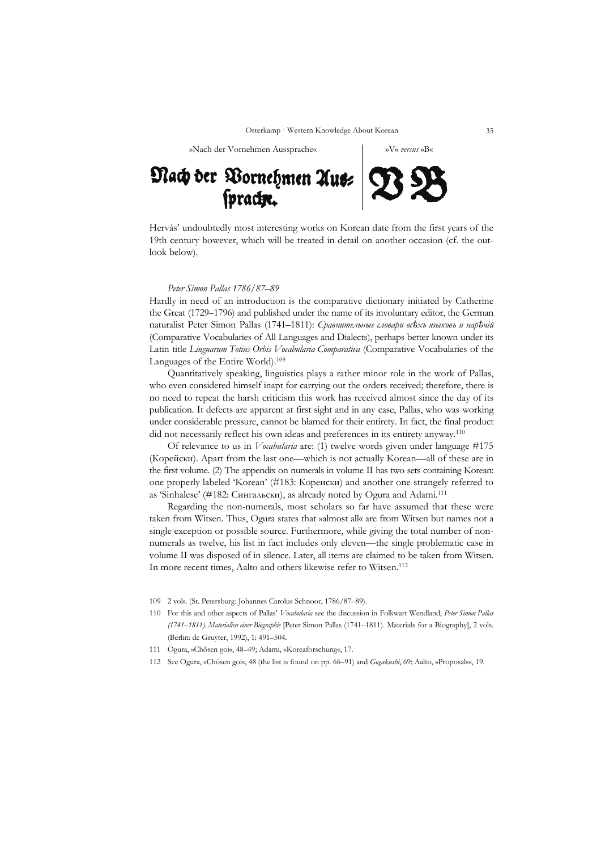»Nach der Vornehmen Aussprache« »V« *versus* »B«

# Nach der Vornehmen Aus= 73

Hervás' undoubtedly most interesting works on Korean date from the first years of the 19th century however, which will be treated in detail on another occasion (cf. the outlook below).

#### *Peter Simon Pallas 1786/87–89*

Hardly in need of an introduction is the comparative dictionary initiated by Catherine the Great (1729–1796) and published under the name of its involuntary editor, the German naturalist Peter Simon Pallas (1741–1811): *Сравнительные словари всѣхъ языковъ и нарѣчій* (Comparative Vocabularies of All Languages and Dialects), perhaps better known under its Latin title *Linguarum Totius Orbis Vocabularia Comparativa* (Comparative Vocabularies of the Languages of the Entire World).<sup>109</sup>

 Quantitatively speaking, linguistics plays a rather minor role in the work of Pallas, who even considered himself inapt for carrying out the orders received; therefore, there is no need to repeat the harsh criticism this work has received almost since the day of its publication. It defects are apparent at first sight and in any case, Pallas, who was working under considerable pressure, cannot be blamed for their entirety. In fact, the final product did not necessarily reflect his own ideas and preferences in its entirety anyway.110

 Of relevance to us in *Vocabularia* are: (1) twelve words given under language #175 (Корейски). Apart from the last one—which is not actually Korean—all of these are in the first volume. (2) The appendix on numerals in volume II has two sets containing Korean: one properly labeled 'Korean' (#183: Кореиски) and another one strangely referred to as 'Sinhalese' (#182: Сингальски), as already noted by Ogura and Adami.111

 Regarding the non-numerals, most scholars so far have assumed that these were taken from Witsen. Thus, Ogura states that »almost all« are from Witsen but names not a single exception or possible source. Furthermore, while giving the total number of nonnumerals as twelve, his list in fact includes only eleven—the single problematic case in volume II was disposed of in silence. Later, all items are claimed to be taken from Witsen. In more recent times, Aalto and others likewise refer to Witsen.112

- 109 2 vols. (St. Petersburg: Johannes Carolus Schnoor, 1786/87–89).
- 110 For this and other aspects of Pallas' *Vocabularia* see the discussion in Folkwart Wendland, *Peter Simon Pallas (1741–1811). Materialien einer Biographie* [Peter Simon Pallas (1741–1811). Materials for a Biography], 2 vols. (Berlin: de Gruyter, 1992), 1: 491–504.
- 111 Ogura, »Chōsen goi«, 48–49; Adami, »Koreaforschung«, 17.
- 112 See Ogura, »Chōsen goi«, 48 (the list is found on pp. 66–91) and *Gogakushi*, 69; Aalto, »Proposals«, 19.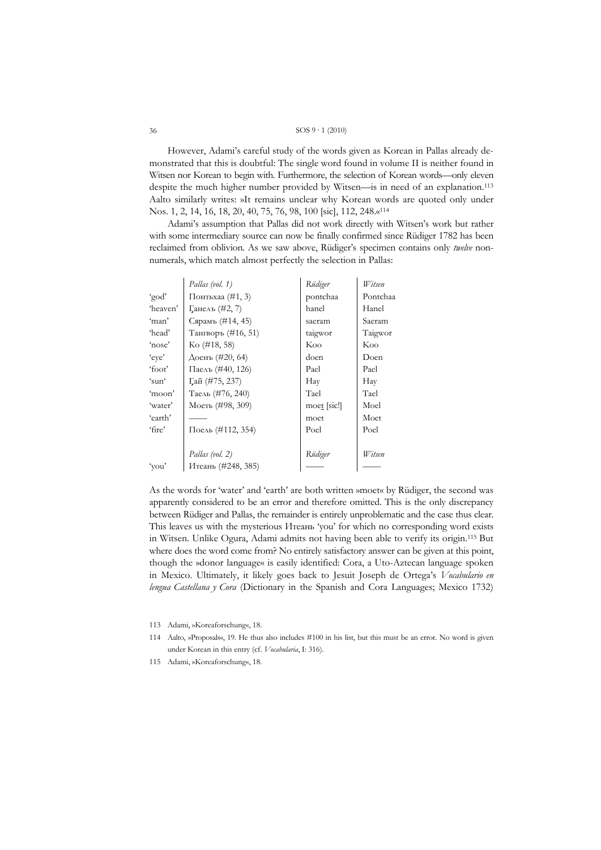However, Adami's careful study of the words given as Korean in Pallas already demonstrated that this is doubtful: The single word found in volume II is neither found in Witsen nor Korean to begin with. Furthermore, the selection of Korean words—only eleven despite the much higher number provided by Witsen—is in need of an explanation.<sup>113</sup> Aalto similarly writes: »It remains unclear why Korean words are quoted only under Nos. 1, 2, 14, 16, 18, 20, 40, 75, 76, 98, 100 [sic], 112, 248.«<sup>114</sup>

Adami's assumption that Pallas did not work directly with Witsen's work but rather with some intermediary source can now be finally confirmed since Rüdiger 1782 has been reclaimed from oblivion. As we saw above, Rüdiger's specimen contains only *twelve* nonnumerals, which match almost perfectly the selection in Pallas:

|          | Pallas (vol. 1)                  | Rüdiger             | Witsen   |
|----------|----------------------------------|---------------------|----------|
| 'god'    | Понтьхаа $(\#1, 3)$              | pontchaa            | Pontchaa |
| 'heaven' | Ганелъ (#2, 7)                   | hanel               | Hanel    |
| 'man'    | Сярамъ (#14, 45)                 | saeram              | Saeram   |
| 'head'   | Таигворъ (#16, 51)               | taigwor             | Taigwor  |
| 'nose'   | $\mathrm{K}\mathrm{o}$ (#18, 58) | Koo                 | Koo      |
| 'eye'    | Доенъ (#20, 64)                  | doen                | Doen     |
| 'foot'   | Паелъ (#40, 126)                 | Pael                | Pael     |
| $\sin$   | Гай (#75, 237)                   | Hay                 | Hay      |
| 'moon'   | Таель (#76, 240)                 | Tael                | Tael     |
| 'water'  | Моеть (#98, 309)                 | $\text{moe}$ [sic!] | Moel     |
| 'earth'  |                                  | moet                | Moet     |
| 'fire'   | Поель (#112, 354)                | Poel                | Poel     |
|          |                                  |                     |          |
|          | Pallas (vol. 2)                  | Rüdiger             | Witsen   |
| 'you'    | Итеань (#248, 385)               |                     |          |

As the words for 'water' and 'earth' are both written »moet« by Rüdiger, the second was apparently considered to be an error and therefore omitted. This is the only discrepancy between Rüdiger and Pallas, the remainder is entirely unproblematic and the case thus clear. This leaves us with the mysterious *M* ream 'you' for which no corresponding word exists in Witsen. Unlike Ogura, Adami admits not having been able to verify its origin.<sup>115</sup> But where does the word come from? No entirely satisfactory answer can be given at this point, though the »donor language« is easily identified: Cora, a Uto-Aztecan language spoken in Mexico. Ultimately, it likely goes back to Jesuit Joseph de Ortega's Vocabulario en lengua Castellana y Cora (Dictionary in the Spanish and Cora Languages; Mexico 1732)

113 Adami, »Koreaforschung«, 18.

115 Adami, »Koreaforschung«, 18.

<sup>114</sup> Aalto, »Proposals«, 19. He thus also includes #100 in his list, but this must be an error. No word is given under Korean in this entry (cf. Vocabularia, I: 316).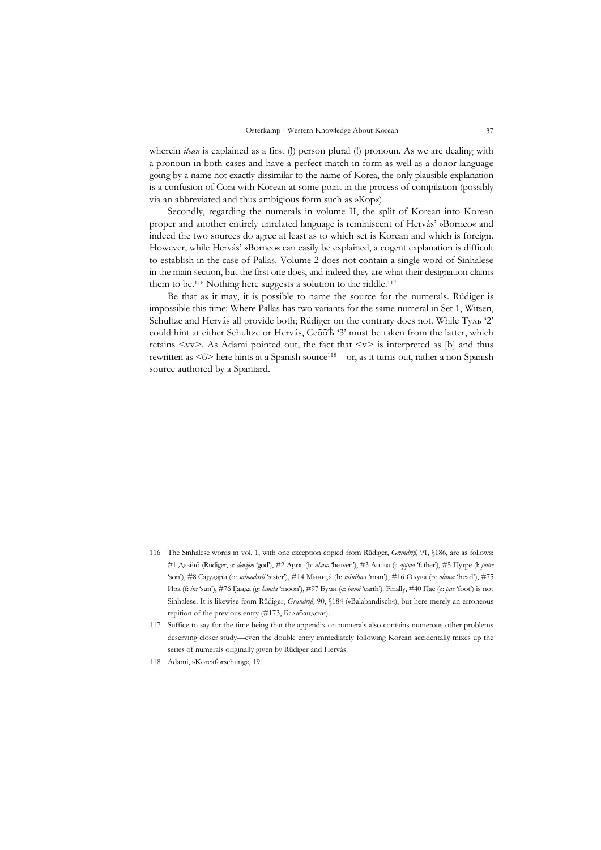wherein *itean* is explained as a first (!) person plural (!) pronoun. As we are dealing with a pronoun in both cases and have a perfect match in form as well as a donor language going by a name not exactly dissimilar to the name of Korea, the only plausible explanation is a confusion of Cora with Korean at some point in the process of compilation (possibly via an abbreviated and thus ambigious form such as »Кор«).

 Secondly, regarding the numerals in volume II, the split of Korean into Korean proper and another entirely unrelated language is reminiscent of Hervás' »Borneo« and indeed the two sources do agree at least as to which set is Korean and which is foreign. However, while Hervás' »Borneo« can easily be explained, a cogent explanation is difficult to establish in the case of Pallas. Volume 2 does not contain a single word of Sinhalese in the main section, but the first one does, and indeed they are what their designation claims them to be.<sup>116</sup> Nothing here suggests a solution to the riddle.<sup>117</sup>

 Be that as it may, it is possible to name the source for the numerals. Rüdiger is impossible this time: Where Pallas has two variants for the same numeral in Set 1, Witsen, Schultze and Hervás all provide both; Rüdiger on the contrary does not. While Туль '2' could hint at either Schultze or Hervás, Себбѣ '3' must be taken from the latter, which retains  $\langle v \rangle$ . As Adami pointed out, the fact that  $\langle v \rangle$  is interpreted as [b] and thus rewritten as <6> here hints at a Spanish source<sup>118</sup>—or, as it turns out, rather a non-Spanish source authored by a Spaniard.

- 116 The Sinhalese words in vol. 1, with one exception copied from Rüdiger, *Grundriß,* 91, §186, are as follows: #1 Девйю̂ (Rüdiger, a: *dewijoo* 'god'), #2 Аг̧аза (b: *ahasa* 'heaven'), #3 Аппаа (i: *appaa* 'father'), #5 Путре (l: *putre* 'son'), #8 Саг̧удари (o: *sahoodarii* 'sister'), #14 Миниг̧á (h: *minihaa* 'man'), #16 Олува (p: *oluwa* 'head'), #75 Ира (f: *ira* 'sun'), #76 Г̧анда (g: *handa* 'moon'), #97 Буми (c: *bumi* 'earth'). Finally, #40 Паé (z: *pae* 'foot') is not Sinhalese. It is likewise from Rüdiger, *Grundriß,* 90, §184 (»Balabandisch«), but here merely an erroneous repition of the previous entry (#173, Балабандски).
- 117 Suffice to say for the time being that the appendix on numerals also contains numerous other problems deserving closer study—even the double entry immediately following Korean accidentally mixes up the series of numerals originally given by Rüdiger and Hervás.
- 118 Adami, »Koreaforschung«, 19.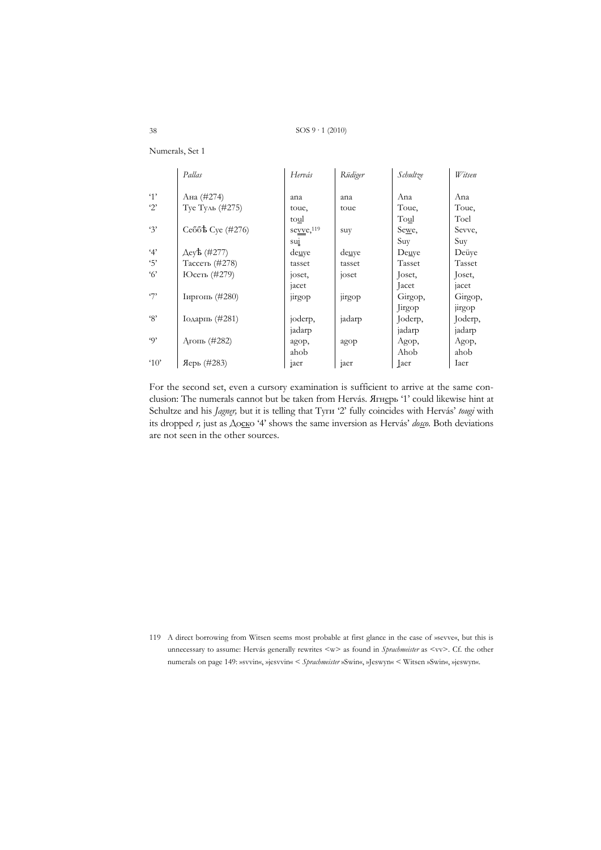|                     | Pallas                                   | Hervás     | Rüdiger | Schultze     | Witsen  |
|---------------------|------------------------------------------|------------|---------|--------------|---------|
| 4'                  | Ана (#274)                               | ana        | ana     | Ana          | Ana     |
| $\cdot$ 2'          | Туе Туль (#275)                          | toue,      | toue    | Toue,        | Toue,   |
|                     |                                          | toul       |         | Toul         | Toel    |
| 3'                  | Ce <sub>66</sub> <sup>t</sup> Cye (#276) | sevve, 119 | suy     | Sewe,        | Sevve,  |
|                     |                                          | sui        |         | Suy          | Suy     |
| 4'                  | Aeyb (#277)                              | deuye      | deuye   | Deuye        | Deüye   |
| 5'                  | Тассеть (#278)                           | tasset     | tasset  | Tasset       | Tasset  |
| $\mathcal{C}'$      | Юсеть (#279)                             | joset,     | joset   | Joset,       | Joset,  |
|                     |                                          | jacet      |         | Jacet        | jacet   |
| $\mathcal{F}$       | Іиргопь (#280)                           | jirgop     | jirgop  | Girgop,      | Girgop, |
|                     |                                          |            |         | Jirgop       | jirgop  |
| ${}^{6}S$           | Iодарпь (#281)                           | joderp,    | jadarp  | Joderp,      | Joderp, |
|                     |                                          | jadarp     |         | jadarp       | jadarp  |
| $\omega$            | $A$ rom $(#282)$                         | agop,      | agop    | Agop,        | Agop,   |
|                     |                                          | ahob       |         | Ahob         | ahob    |
| $^4$ 0 <sup>2</sup> | Яерь (#283)                              | jaer       | jaer    | <b>L</b> aer | Iaer    |

Numerals, Set 1

For the second set, even a cursory examination is sufficient to arrive at the same conclusion: The numerals cannot but be taken from Hervás. ATHepb '1' could likewise hint at Schultze and his *Jagner*, but it is telling that Tyrn '2' fully coincides with Hervás' tougi with its dropped  $r$ , just as  $\Delta$ ocko '4' shows the same inversion as Hervás'  $\omega$ <sub>650</sub>. Both deviations are not seen in the other sources.

119 A direct borrowing from Witsen seems most probable at first glance in the case of »sevve«, but this is unnecessary to assume: Hervás generally rewrites <w> as found in Sprachmeister as <vv>. Cf. the other numerals on page 149: »svvin«, »jesvvin« < Sprachmeister »Swin«, »Jeswyn« < Witsen »Swin«, »jeswyn«.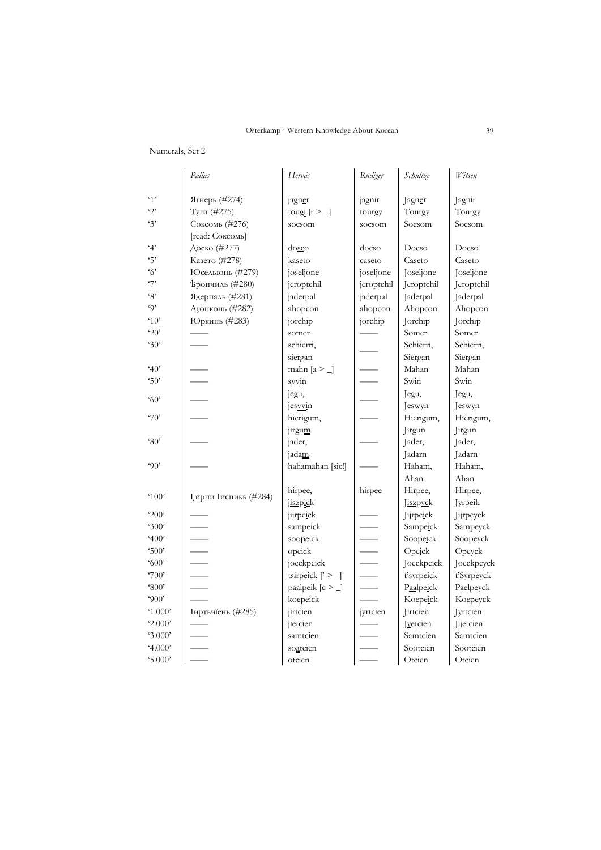# Numerals, Set 2

|                                         | Pallas                       | Hervás                          | Rüdiger    | Schultze         | Witsen           |
|-----------------------------------------|------------------------------|---------------------------------|------------|------------------|------------------|
| $\cdot$ 1'                              |                              |                                 |            |                  |                  |
| $\cdot$ 2'                              | Ягнерь (#274)<br>Туги (#275) | jagner                          | jagnir     | Jagner<br>Tourgy | Jagnir<br>Tourgy |
| 3'                                      |                              | tougi $[r \geq \_]$             | tourgy     |                  |                  |
|                                         | Сокеомь (#276)               | socsom                          | socsom     | Socsom           | Socsom           |
|                                         | [read: Соксомь]              |                                 |            |                  |                  |
| 4'                                      | Доско (#277)                 | dosco                           | docso      | Docso            | Docso            |
| 5'                                      | Казето (#278)                | kaseto                          | caseto     | Caseto           | Caseto           |
| $\cdot$ 6'                              | Юсельюнь (#279)              | joseljone                       | joseljone  | Joseljone        | Joseljone        |
| $\mathcal{F}$                           | <b>Ъропчиль</b> (#280)       | jeroptchil                      | jeroptchil | Jeroptchil       | Jeroptchil       |
| $\cdot_8$                               | Ядерпаль (#281)              | jaderpal                        | jaderpal   | Jaderpal         | Jaderpal         |
| $\omega$                                | Агопконь (#282)              | ahopcon                         | ahopcon    | Ahopcon          | Ahopcon          |
| $^4$ 10 <sup><math>\degree</math></sup> | Юркипь (#283)                | jorchip                         | jorchip    | Jorchip          | Jorchip          |
| 20'                                     |                              | somer                           |            | Somer            | Somer            |
| 30'                                     |                              | schierri,                       |            | Schierri,        | Schierri,        |
|                                         |                              | siergan                         |            | Siergan          | Siergan          |
| 40'                                     |                              | mahn [ $a >$ ]                  |            | Mahan            | Mahan            |
| 50'                                     |                              | syvin                           |            | Swin             | Swin             |
| 60'                                     |                              | jegu,                           |            | Jegu,            | Jegu,            |
|                                         |                              | jesvvin                         |            | Jeswyn           | Jeswyn           |
| 70'                                     |                              | hierigum,                       |            | Hierigum,        | Hierigum,        |
|                                         |                              | jirgum                          |            | Jirgun           | Jirgun           |
| $^{\circ}80'$                           |                              | jader,                          |            | Jader,           | Jader,           |
|                                         |                              | jadam                           |            | Jadarn           | Jadarn           |
| 90'                                     |                              | hahamahan [sic!]                |            | Haham,           | Haham,           |
|                                         |                              |                                 |            | Ahan             | Ahan             |
|                                         |                              | hirpee,                         | hirpee     | Hirpee,          | Hirpee,          |
| $^400'$                                 | Гирпи Іиспикь (#284)         | jiszpick                        |            | Jiszpyck         | Jyrpeik          |
| 200'                                    |                              | jijrpeick                       |            | Jijrpeick        | Jijrpeyck        |
| 300'                                    |                              | sampeick                        |            | Sampeick         | Sampeyck         |
| 400'                                    |                              | soopeick                        |            | Soopeick         | Soopeyck         |
| 500'                                    |                              | opeick                          |            | Opeick           | Opeyck           |
| 600'                                    |                              | joeckpeick                      |            | Joeckpeick       | Joeckpeyck       |
| $\gamma$ 00'                            |                              | tsirpeick $\lceil \cdot \rceil$ |            | t'syrpeick       | t'Syrpeyck       |
| $^{\circ}800'$                          |                              | paalpeik $[c > _{\_}]$          |            | Paalpeick        | Paelpeyck        |
| 900'                                    |                              | koepeick                        |            | Koepeick         | Koepeyck         |
| $^{\prime}1.000'$                       | Іиртьчїень (#285)            | jirtcien                        | jyrtcien   | Jirtcien         | Jyrtcien         |
| 2.000'                                  |                              | jietcien                        |            | Jyetcien         | Jijetcien        |
| 3.000'                                  |                              | samtcien                        |            | Samtcien         | Samtcien         |
| 4.000'                                  |                              | soatcien                        |            | Sootcien         | Sootcien         |
| 5.000'                                  |                              | otcien                          |            | Otcien           | Otcien           |
|                                         |                              |                                 |            |                  |                  |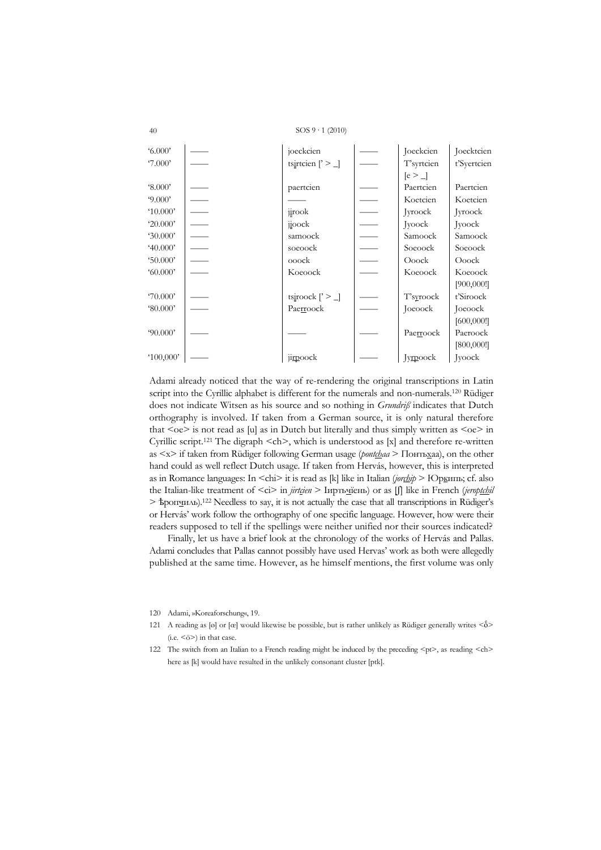SOS  $9 \cdot 1$  (2010)

| 6.000'             | joeckcien                                  | Joeckcien  | Joecktcien  |
|--------------------|--------------------------------------------|------------|-------------|
| 7.000'             | tsirtcien $\lceil \cdot \rceil$            | T'syrtcien | t'Syertcien |
|                    |                                            | $[e > \_$  |             |
| $^{\circ}8.000'$   | paertcien                                  | Paertcien  | Paertcien   |
| 9.000'             |                                            | Koetcien   | Koetcien    |
| $^{\prime}10.000'$ | jirook                                     | Jyroock    | Jyroock     |
| 20.000'            | $\frac{1}{10}$ ock                         | Jyoock     | Jyoock      |
| 30.000'            | samoock                                    | Samoock    | Samoock     |
| 40.000'            | soeoock                                    | Soeoock    | Soeoock     |
| 50.000'            | ooock                                      | Ooock      | Ooock       |
| 60.000             | Koeoock                                    | Koeoock    | Koeoock     |
|                    |                                            |            | [900,000]   |
| 70.000'            | tsiroock $\left[\right]$ > $\left[\right]$ | T'syroock  | t'Siroock   |
| $\$0.000'$         | Paerroock                                  | Joeoock    | Joeoock     |
|                    |                                            |            | [600,000]   |
| 90.000'            |                                            | Paerroock  | Paeroock    |
|                    |                                            |            | [800,000!]  |
| '100,000'          | jirpoock                                   | Jyrpoock   | Jyoock      |

Adami already noticed that the way of re-rendering the original transcriptions in Latin script into the Cyrillic alphabet is different for the numerals and non-numerals.<sup>120</sup> Rüdiger does not indicate Witsen as his source and so nothing in *Grundrif* indicates that Dutch orthography is involved. If taken from a German source, it is only natural therefore that  $\le$ oe $>$  is not read as [u] as in Dutch but literally and thus simply written as  $\le$ oe $>$  in Cyrillic script.<sup>121</sup> The digraph  $\leq$ ch>, which is understood as [x] and therefore re-written as <x> if taken from Rüdiger following German usage (*pontchaa* > Понтьхаа), on the other hand could as well reflect Dutch usage. If taken from Hervás, however, this is interpreted as in Romance languages: In <chi> it is read as [k] like in Italian (jor<u>thip > Юрк</u>ипь; cf. also the Italian-like treatment of <ci> in *jirtcien* > Іирть<u>ч</u>їень) or as [ʃ] like in French (jeroptchil  $>$  sportguards).<sup>122</sup> Needless to say, it is not actually the case that all transcriptions in Rüdiger's or Hervás' work follow the orthography of one specific language. However, how were their readers supposed to tell if the spellings were neither unified nor their sources indicated?

Finally, let us have a brief look at the chronology of the works of Hervás and Pallas. Adami concludes that Pallas cannot possibly have used Hervas' work as both were allegedly published at the same time. However, as he himself mentions, the first volume was only

- 120 Adami, »Koreaforschung«, 19.
- 121 A reading as [o] or [œ] would likewise be possible, but is rather unlikely as Rüdiger generally writes  $\langle \delta \rangle$  $(i.e. <\delta$ >) in that case.
- 122 The switch from an Italian to a French reading might be induced by the preceding  $\leq$  th>, as reading  $\leq$  th> here as [k] would have resulted in the unlikely consonant cluster [ptk].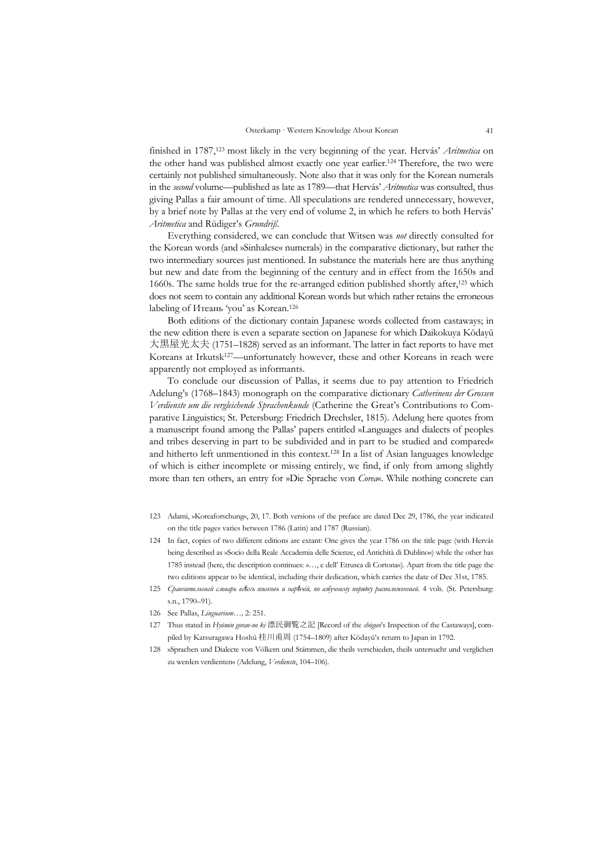finished in 1787,123 most likely in the very beginning of the year. Hervás' *Aritmetica* on the other hand was published almost exactly one year earlier.124 Therefore, the two were certainly not published simultaneously. Note also that it was only for the Korean numerals in the *second* volume—published as late as 1789—that Hervás' *Aritmetica* was consulted, thus giving Pallas a fair amount of time. All speculations are rendered unnecessary, however, by a brief note by Pallas at the very end of volume 2, in which he refers to both Hervás' *Aritmetica* and Rüdiger's *Grundriß*.

 Everything considered, we can conclude that Witsen was *not* directly consulted for the Korean words (and »Sinhalese« numerals) in the comparative dictionary, but rather the two intermediary sources just mentioned. In substance the materials here are thus anything but new and date from the beginning of the century and in effect from the 1650s and 1660s. The same holds true for the re-arranged edition published shortly after,<sup>125</sup> which does not seem to contain any additional Korean words but which rather retains the erroneous labeling of Итеань 'you' as Korean.126

 Both editions of the dictionary contain Japanese words collected from castaways; in the new edition there is even a separate section on Japanese for which Daikokuya Kōdayū 大黒屋光太夫 (1751–1828) served as an informant. The latter in fact reports to have met Koreans at Irkutsk<sup>127</sup>—unfortunately however, these and other Koreans in reach were apparently not employed as informants.

 To conclude our discussion of Pallas, it seems due to pay attention to Friedrich Adelung's (1768–1843) monograph on the comparative dictionary *Catherinens der Grossen Verdienste um die vergleichende Sprachenkunde* (Catherine the Great's Contributions to Comparative Linguistics; St. Petersburg: Friedrich Drechsler, 1815). Adelung here quotes from a manuscript found among the Pallas' papers entitled »Languages and dialects of peoples and tribes deserving in part to be subdivided and in part to be studied and compared« and hitherto left unmentioned in this context.128 In a list of Asian languages knowledge of which is either incomplete or missing entirely, we find, if only from among slightly more than ten others, an entry for »Die Sprache von *Corea*«. While nothing concrete can

- 123 Adami, »Koreaforschung«, 20, 17. Both versions of the preface are dated Dec 29, 1786, the year indicated on the title pages varies between 1786 (Latin) and 1787 (Russian).
- 124 In fact, copies of two different editions are extant: One gives the year 1786 on the title page (with Hervás being described as »Socio della Reale Accademia delle Scienze, ed Antichità di Dublino«) while the other has 1785 instead (here, the description continues: »…, e dell' Etrusca di Cortona«). Apart from the title page the two editions appear to be identical, including their dedication, which carries the date of Dec 31st, 1785.
- 125 *Сравнительный словарь всѣхъ языковъ и нарѣчій, по азбучному порядку расположенный.* 4 vols. (St. Petersburg: s.n., 1790–91).
- 126 See Pallas, *Linguarium…,* 2: 251.
- 127 Thus stated in *Hyōmin goran-no ki* 漂民御覧之記 [Record of the *shōgun*'s Inspection of the Castaways], compiled by Katsuragawa Hoshū 桂川甫周 (1754–1809) after Kōdayū's return to Japan in 1792.
- 128 »Sprachen und Dialecte von Völkern und Stämmen, die theils verschieden, theils untersucht und verglichen zu werden verdienten« (Adelung, *Verdienste*, 104–106).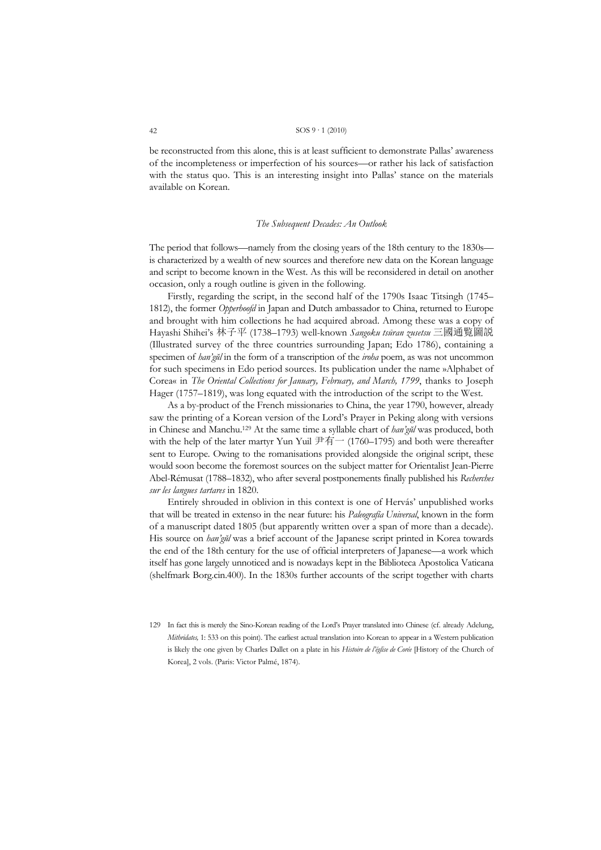be reconstructed from this alone, this is at least sufficient to demonstrate Pallas' awareness of the incompleteness or imperfection of his sources—or rather his lack of satisfaction with the status quo. This is an interesting insight into Pallas' stance on the materials available on Korean.

#### *The Subsequent Decades: An Outlook*

The period that follows—namely from the closing years of the 18th century to the 1830s is characterized by a wealth of new sources and therefore new data on the Korean language and script to become known in the West. As this will be reconsidered in detail on another occasion, only a rough outline is given in the following.

 Firstly, regarding the script, in the second half of the 1790s Isaac Titsingh (1745– 1812), the former *Opperhoofd* in Japan and Dutch ambassador to China, returned to Europe and brought with him collections he had acquired abroad. Among these was a copy of Hayashi Shihei's 林子平 (1738–1793) well-known *Sangoku tsūran zusetsu* 三國通覧圖説 (Illustrated survey of the three countries surrounding Japan; Edo 1786), containing a specimen of *han'gŭl* in the form of a transcription of the *iroha* poem, as was not uncommon for such specimens in Edo period sources. Its publication under the name »Alphabet of Corea« in *The Oriental Collections for January, February, and March, 1799*, thanks to Joseph Hager (1757–1819), was long equated with the introduction of the script to the West.

 As a by-product of the French missionaries to China, the year 1790, however, already saw the printing of a Korean version of the Lord's Prayer in Peking along with versions in Chinese and Manchu.129 At the same time a syllable chart of *han'gŭl* was produced, both with the help of the later martyr Yun Yuil 尹有一 (1760–1795) and both were thereafter sent to Europe. Owing to the romanisations provided alongside the original script, these would soon become the foremost sources on the subject matter for Orientalist Jean-Pierre Abel-Rémusat (1788–1832), who after several postponements finally published his *Recherches sur les langues tartares* in 1820.

 Entirely shrouded in oblivion in this context is one of Hervás' unpublished works that will be treated in extenso in the near future: his *Paleografía Universal*, known in the form of a manuscript dated 1805 (but apparently written over a span of more than a decade). His source on *han'gŭl* was a brief account of the Japanese script printed in Korea towards the end of the 18th century for the use of official interpreters of Japanese—a work which itself has gone largely unnoticed and is nowadays kept in the Biblioteca Apostolica Vaticana (shelfmark Borg.cin.400). In the 1830s further accounts of the script together with charts

<sup>129</sup> In fact this is merely the Sino-Korean reading of the Lord's Prayer translated into Chinese (cf. already Adelung, *Mithridates,* 1: 533 on this point). The earliest actual translation into Korean to appear in a Western publication is likely the one given by Charles Dallet on a plate in his *Histoire de l'église de Corée* [History of the Church of Korea], 2 vols. (Paris: Victor Palmé, 1874).